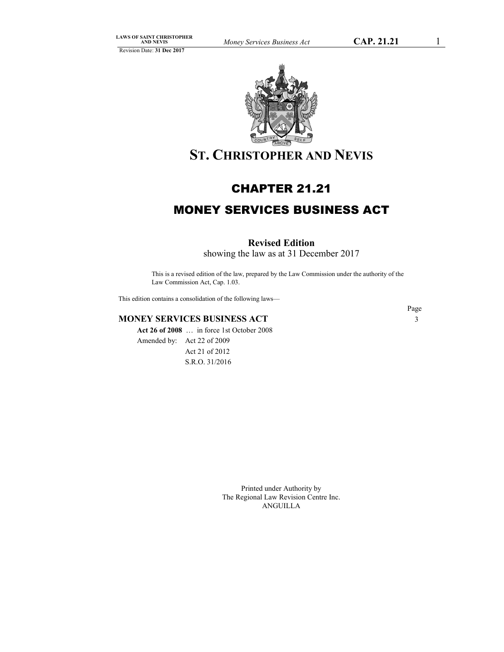

# **ST. CHRISTOPHER AND NEVIS**

## CHAPTER 21.21

# MONEY SERVICES BUSINESS ACT

## **Revised Edition**

showing the law as at 31 December 2017

This is a revised edition of the law, prepared by the Law Commission under the authority of the Law Commission Act, Cap. 1.03.

This edition contains a consolidation of the following laws—

## **MONEY SERVICES BUSINESS ACT** 3

**Act 26 of 2008** … in force 1st October 2008 Amended by: Act 22 of 2009 Act 21 of 2012 S.R.O. 31/2016

Page

Printed under Authority by The Regional Law Revision Centre Inc. ANGUILLA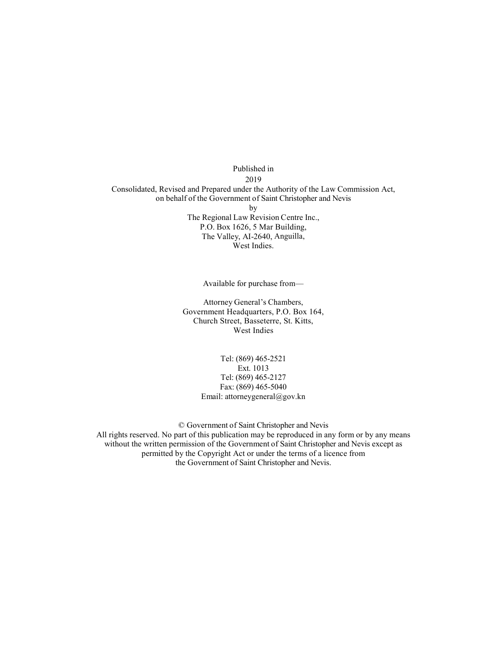Published in 2019 Consolidated, Revised and Prepared under the Authority of the Law Commission Act, on behalf of the Government of Saint Christopher and Nevis by The Regional Law Revision Centre Inc., P.O. Box 1626, 5 Mar Building, The Valley, AI-2640, Anguilla, West Indies.

Available for purchase from—

Attorney General's Chambers, Government Headquarters, P.O. Box 164, Church Street, Basseterre, St. Kitts, West Indies

> Tel: (869) 465-2521 Ext. 1013 Tel: (869) 465-2127 Fax: (869) 465-5040 Email: attorneygeneral@gov.kn

© Government of Saint Christopher and Nevis All rights reserved. No part of this publication may be reproduced in any form or by any means without the written permission of the Government of Saint Christopher and Nevis except as permitted by the Copyright Act or under the terms of a licence from the Government of Saint Christopher and Nevis.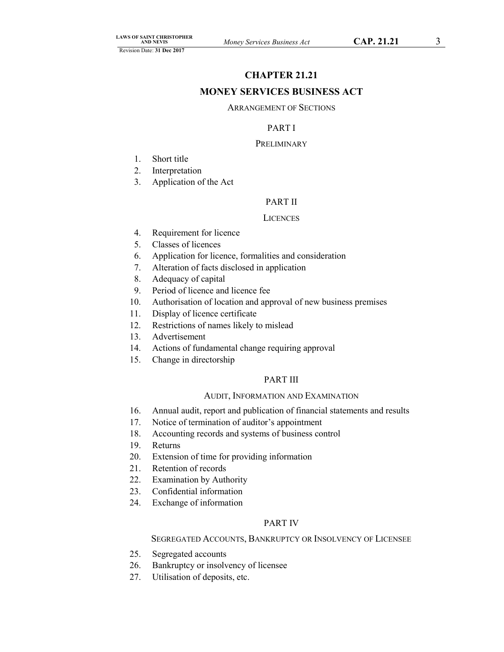## **CHAPTER 21.21**

## **MONEY SERVICES BUSINESS ACT**

## ARRANGEMENT OF SECTIONS

## PART I

## **PRELIMINARY**

- 1. Short title
- 2. Interpretation
- 3. Application of the Act

## PART II

## **LICENCES**

- 4. Requirement for licence
- 5. Classes of licences
- 6. Application for licence, formalities and consideration
- 7. Alteration of facts disclosed in application
- 8. Adequacy of capital
- 9. Period of licence and licence fee
- 10. Authorisation of location and approval of new business premises
- 11. Display of licence certificate
- 12. Restrictions of names likely to mislead
- 13. Advertisement
- 14. Actions of fundamental change requiring approval
- 15. Change in directorship

## PART III

## AUDIT, INFORMATION AND EXAMINATION

- 16. Annual audit, report and publication of financial statements and results
- 17. Notice of termination of auditor's appointment
- 18. Accounting records and systems of business control
- 19. Returns
- 20. Extension of time for providing information
- 21. Retention of records
- 22. Examination by Authority
- 23. Confidential information
- 24. Exchange of information

## PART IV

## SEGREGATED ACCOUNTS, BANKRUPTCY OR INSOLVENCY OF LICENSEE

- 25. Segregated accounts
- 26. Bankruptcy or insolvency of licensee
- 27. Utilisation of deposits, etc.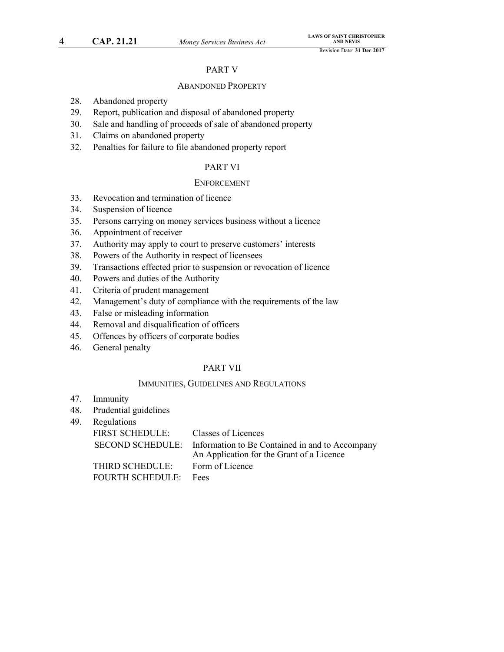## PART V

## ABANDONED PROPERTY

- 28. Abandoned property
- 29. Report, publication and disposal of abandoned property
- 30. Sale and handling of proceeds of sale of abandoned property
- 31. Claims on abandoned property
- 32. Penalties for failure to file abandoned property report

## PART VI

#### **ENFORCEMENT**

- 33. Revocation and termination of licence
- 34. Suspension of licence
- 35. Persons carrying on money services business without a licence
- 36. Appointment of receiver
- 37. Authority may apply to court to preserve customers' interests
- 38. Powers of the Authority in respect of licensees
- 39. Transactions effected prior to suspension or revocation of licence
- 40. Powers and duties of the Authority
- 41. Criteria of prudent management
- 42. Management's duty of compliance with the requirements of the law
- 43. False or misleading information
- 44. Removal and disqualification of officers
- 45. Offences by officers of corporate bodies
- 46. General penalty

## PART VII

## IMMUNITIES, GUIDELINES AND REGULATIONS

- 47. Immunity
- 48. Prudential guidelines
- 49. Regulations

| <b>FIRST SCHEDULE:</b> | Classes of Licences                                                                                           |
|------------------------|---------------------------------------------------------------------------------------------------------------|
|                        | SECOND SCHEDULE: Information to Be Contained in and to Accompany<br>An Application for the Grant of a Licence |
| THIRD SCHEDULE:        | Form of Licence                                                                                               |
| FOURTH SCHEDULE: Fees  |                                                                                                               |
|                        |                                                                                                               |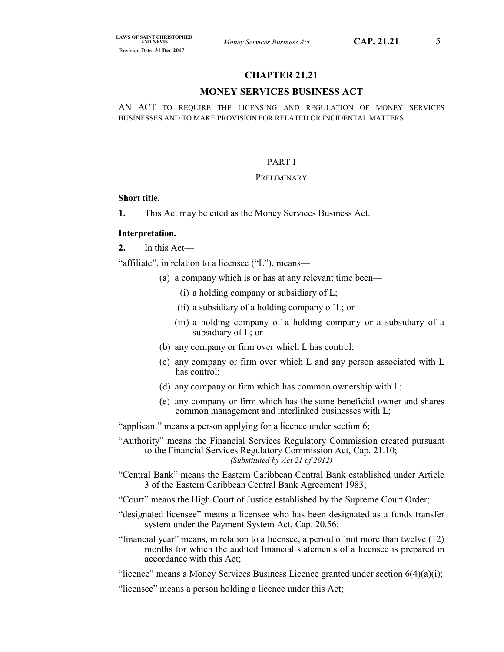## **CHAPTER 21.21**

## **MONEY SERVICES BUSINESS ACT**

AN ACT TO REQUIRE THE LICENSING AND REGULATION OF MONEY SERVICES BUSINESSES AND TO MAKE PROVISION FOR RELATED OR INCIDENTAL MATTERS.

#### PART I

#### **PRELIMINARY**

### **Short title.**

**1.** This Act may be cited as the Money Services Business Act.

## **Interpretation.**

**2.** In this Act—

"affiliate", in relation to a licensee ("L"), means—

- (a) a company which is or has at any relevant time been—
	- (i) a holding company or subsidiary of L;
	- (ii) a subsidiary of a holding company of L; or
	- (iii) a holding company of a holding company or a subsidiary of a subsidiary of L; or
- (b) any company or firm over which L has control;
- (c) any company or firm over which L and any person associated with L has control;
- (d) any company or firm which has common ownership with L;
- (e) any company or firm which has the same beneficial owner and shares common management and interlinked businesses with L;

"applicant" means a person applying for a licence under section 6;

"Authority" means the Financial Services Regulatory Commission created pursuant to the Financial Services Regulatory Commission Act, Cap. 21.10; *(Substituted by Act 21 of 2012)*

- "Central Bank" means the Eastern Caribbean Central Bank established under Article 3 of the Eastern Caribbean Central Bank Agreement 1983;
- "Court" means the High Court of Justice established by the Supreme Court Order;
- "designated licensee" means a licensee who has been designated as a funds transfer system under the Payment System Act, Cap. 20.56;
- "financial year" means, in relation to a licensee, a period of not more than twelve (12) months for which the audited financial statements of a licensee is prepared in accordance with this Act;
- "licence" means a Money Services Business Licence granted under section  $6(4)(a)(i)$ ;

"licensee" means a person holding a licence under this Act;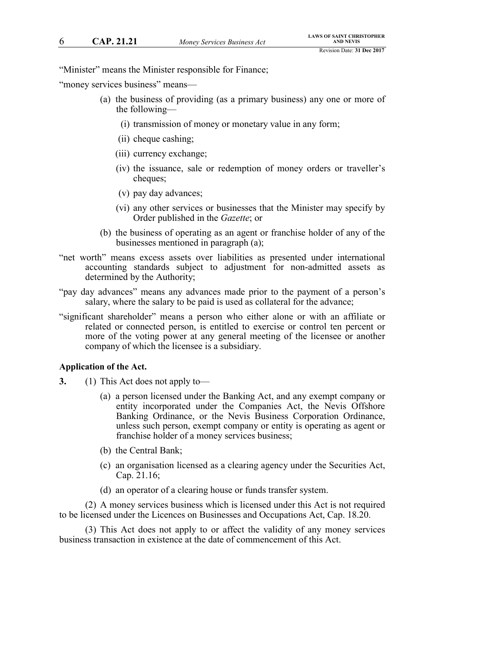"Minister" means the Minister responsible for Finance;

"money services business" means—

- (a) the business of providing (as a primary business) any one or more of the following—
	- (i) transmission of money or monetary value in any form;
	- (ii) cheque cashing;
	- (iii) currency exchange;
	- (iv) the issuance, sale or redemption of money orders or traveller's cheques;
	- (v) pay day advances;
	- (vi) any other services or businesses that the Minister may specify by Order published in the *Gazette*; or
- (b) the business of operating as an agent or franchise holder of any of the businesses mentioned in paragraph (a);
- "net worth" means excess assets over liabilities as presented under international accounting standards subject to adjustment for non-admitted assets as determined by the Authority;
- "pay day advances" means any advances made prior to the payment of a person's salary, where the salary to be paid is used as collateral for the advance;
- "significant shareholder" means a person who either alone or with an affiliate or related or connected person, is entitled to exercise or control ten percent or more of the voting power at any general meeting of the licensee or another company of which the licensee is a subsidiary.

#### **Application of the Act.**

- **3.** (1) This Act does not apply to—
	- (a) a person licensed under the Banking Act, and any exempt company or entity incorporated under the Companies Act, the Nevis Offshore Banking Ordinance, or the Nevis Business Corporation Ordinance, unless such person, exempt company or entity is operating as agent or franchise holder of a money services business;
	- (b) the Central Bank;
	- (c) an organisation licensed as a clearing agency under the Securities Act, Cap. 21.16;
	- (d) an operator of a clearing house or funds transfer system.

(2) A money services business which is licensed under this Act is not required to be licensed under the Licences on Businesses and Occupations Act, Cap. 18.20.

(3) This Act does not apply to or affect the validity of any money services business transaction in existence at the date of commencement of this Act.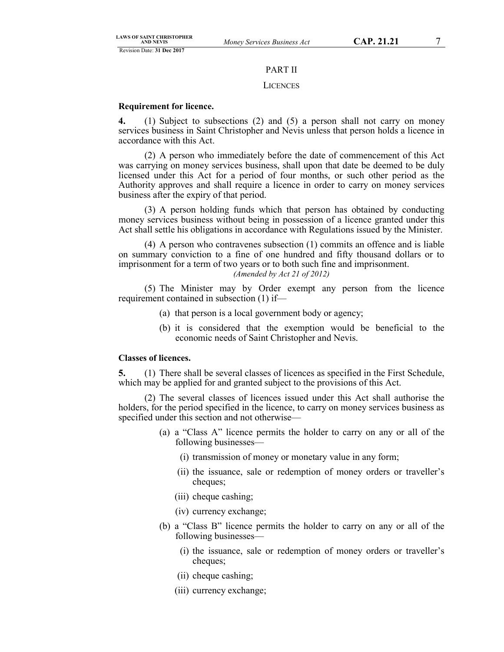## PART II

#### **LICENCES**

## **Requirement for licence.**

**4.** (1) Subject to subsections (2) and (5) a person shall not carry on money services business in Saint Christopher and Nevis unless that person holds a licence in accordance with this Act.

(2) A person who immediately before the date of commencement of this Act was carrying on money services business, shall upon that date be deemed to be duly licensed under this Act for a period of four months, or such other period as the Authority approves and shall require a licence in order to carry on money services business after the expiry of that period.

(3) A person holding funds which that person has obtained by conducting money services business without being in possession of a licence granted under this Act shall settle his obligations in accordance with Regulations issued by the Minister.

(4) A person who contravenes subsection (1) commits an offence and is liable on summary conviction to a fine of one hundred and fifty thousand dollars or to imprisonment for a term of two years or to both such fine and imprisonment.

## *(Amended by Act 21 of 2012)*

(5) The Minister may by Order exempt any person from the licence requirement contained in subsection (1) if—

- (a) that person is a local government body or agency;
- (b) it is considered that the exemption would be beneficial to the economic needs of Saint Christopher and Nevis.

## **Classes of licences.**

**5.** (1) There shall be several classes of licences as specified in the First Schedule, which may be applied for and granted subject to the provisions of this Act.

(2) The several classes of licences issued under this Act shall authorise the holders, for the period specified in the licence, to carry on money services business as specified under this section and not otherwise—

- (a) a "Class A" licence permits the holder to carry on any or all of the following businesses—
	- (i) transmission of money or monetary value in any form;
	- (ii) the issuance, sale or redemption of money orders or traveller's cheques;
	- (iii) cheque cashing;
	- (iv) currency exchange;
- (b) a "Class B" licence permits the holder to carry on any or all of the following businesses—
	- (i) the issuance, sale or redemption of money orders or traveller's cheques;
	- (ii) cheque cashing;
	- (iii) currency exchange;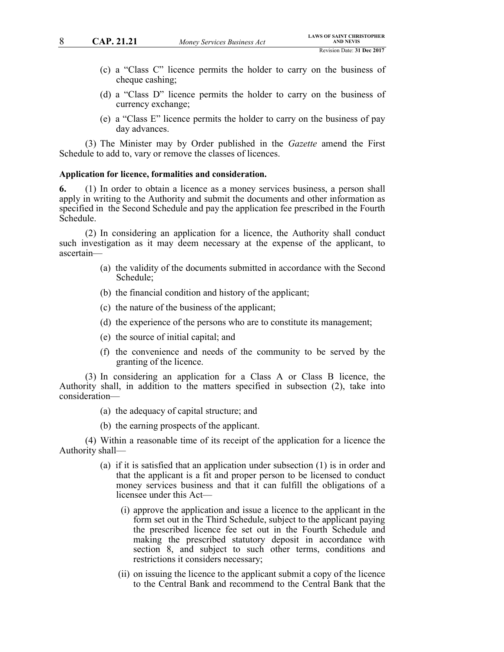- (c) a "Class C" licence permits the holder to carry on the business of cheque cashing;
- (d) a "Class D" licence permits the holder to carry on the business of currency exchange;
- (e) a "Class E" licence permits the holder to carry on the business of pay day advances.

(3) The Minister may by Order published in the *Gazette* amend the First Schedule to add to, vary or remove the classes of licences.

#### **Application for licence, formalities and consideration.**

**6.** (1) In order to obtain a licence as a money services business, a person shall apply in writing to the Authority and submit the documents and other information as specified in the Second Schedule and pay the application fee prescribed in the Fourth Schedule.

(2) In considering an application for a licence, the Authority shall conduct such investigation as it may deem necessary at the expense of the applicant, to ascertain—

- (a) the validity of the documents submitted in accordance with the Second Schedule;
- (b) the financial condition and history of the applicant;
- (c) the nature of the business of the applicant;
- (d) the experience of the persons who are to constitute its management;
- (e) the source of initial capital; and
- (f) the convenience and needs of the community to be served by the granting of the licence.

(3) In considering an application for a Class A or Class B licence, the Authority shall, in addition to the matters specified in subsection (2), take into consideration—

- (a) the adequacy of capital structure; and
- (b) the earning prospects of the applicant.

(4) Within a reasonable time of its receipt of the application for a licence the Authority shall—

- (a) if it is satisfied that an application under subsection (1) is in order and that the applicant is a fit and proper person to be licensed to conduct money services business and that it can fulfill the obligations of a licensee under this Act—
	- (i) approve the application and issue a licence to the applicant in the form set out in the Third Schedule, subject to the applicant paying the prescribed licence fee set out in the Fourth Schedule and making the prescribed statutory deposit in accordance with section 8, and subject to such other terms, conditions and restrictions it considers necessary;
	- (ii) on issuing the licence to the applicant submit a copy of the licence to the Central Bank and recommend to the Central Bank that the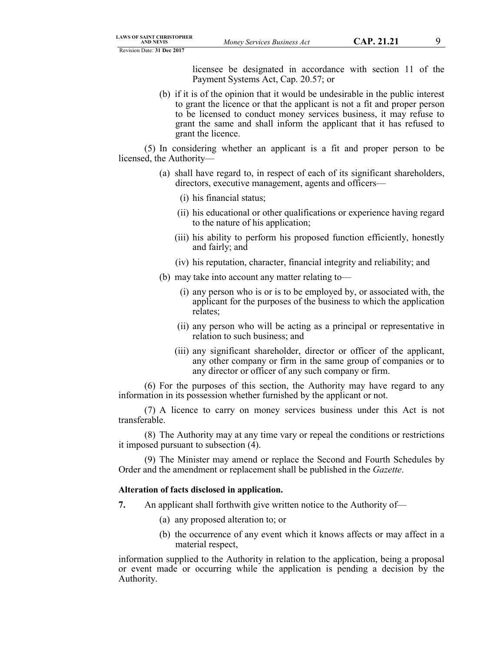licensee be designated in accordance with section 11 of the Payment Systems Act, Cap. 20.57; or

(b) if it is of the opinion that it would be undesirable in the public interest to grant the licence or that the applicant is not a fit and proper person to be licensed to conduct money services business, it may refuse to grant the same and shall inform the applicant that it has refused to grant the licence.

(5) In considering whether an applicant is a fit and proper person to be licensed, the Authority—

- (a) shall have regard to, in respect of each of its significant shareholders, directors, executive management, agents and officers—
	- (i) his financial status;
	- (ii) his educational or other qualifications or experience having regard to the nature of his application;
	- (iii) his ability to perform his proposed function efficiently, honestly and fairly; and
	- (iv) his reputation, character, financial integrity and reliability; and
- (b) may take into account any matter relating to—
	- (i) any person who is or is to be employed by, or associated with, the applicant for the purposes of the business to which the application relates;
	- (ii) any person who will be acting as a principal or representative in relation to such business; and
	- (iii) any significant shareholder, director or officer of the applicant, any other company or firm in the same group of companies or to any director or officer of any such company or firm.

(6) For the purposes of this section, the Authority may have regard to any information in its possession whether furnished by the applicant or not.

(7) A licence to carry on money services business under this Act is not transferable.

(8) The Authority may at any time vary or repeal the conditions or restrictions it imposed pursuant to subsection (4).

(9) The Minister may amend or replace the Second and Fourth Schedules by Order and the amendment or replacement shall be published in the *Gazette*.

## **Alteration of facts disclosed in application.**

- **7.** An applicant shall forthwith give written notice to the Authority of—
	- (a) any proposed alteration to; or
	- (b) the occurrence of any event which it knows affects or may affect in a material respect,

information supplied to the Authority in relation to the application, being a proposal or event made or occurring while the application is pending a decision by the Authority.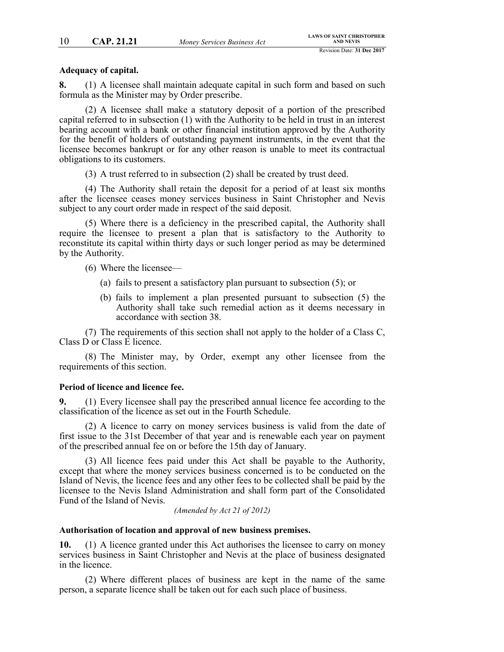## **Adequacy of capital.**

**8.** (1) A licensee shall maintain adequate capital in such form and based on such formula as the Minister may by Order prescribe.

(2) A licensee shall make a statutory deposit of a portion of the prescribed capital referred to in subsection (1) with the Authority to be held in trust in an interest bearing account with a bank or other financial institution approved by the Authority for the benefit of holders of outstanding payment instruments, in the event that the licensee becomes bankrupt or for any other reason is unable to meet its contractual obligations to its customers.

(3) A trust referred to in subsection (2) shall be created by trust deed.

(4) The Authority shall retain the deposit for a period of at least six months after the licensee ceases money services business in Saint Christopher and Nevis subject to any court order made in respect of the said deposit.

(5) Where there is a deficiency in the prescribed capital, the Authority shall require the licensee to present a plan that is satisfactory to the Authority to reconstitute its capital within thirty days or such longer period as may be determined by the Authority.

- (6) Where the licensee—
	- (a) fails to present a satisfactory plan pursuant to subsection (5); or
	- (b) fails to implement a plan presented pursuant to subsection (5) the Authority shall take such remedial action as it deems necessary in accordance with section 38.

(7) The requirements of this section shall not apply to the holder of a Class C, Class D or Class E licence.

(8) The Minister may, by Order, exempt any other licensee from the requirements of this section.

## **Period of licence and licence fee.**

**9.** (1) Every licensee shall pay the prescribed annual licence fee according to the classification of the licence as set out in the Fourth Schedule.

(2) A licence to carry on money services business is valid from the date of first issue to the 31st December of that year and is renewable each year on payment of the prescribed annual fee on or before the 15th day of January.

(3) All licence fees paid under this Act shall be payable to the Authority, except that where the money services business concerned is to be conducted on the Island of Nevis, the licence fees and any other fees to be collected shall be paid by the licensee to the Nevis Island Administration and shall form part of the Consolidated Fund of the Island of Nevis.

*(Amended by Act 21 of 2012)*

### **Authorisation of location and approval of new business premises.**

**10.** (1) A licence granted under this Act authorises the licensee to carry on money services business in Saint Christopher and Nevis at the place of business designated in the licence.

(2) Where different places of business are kept in the name of the same person, a separate licence shall be taken out for each such place of business.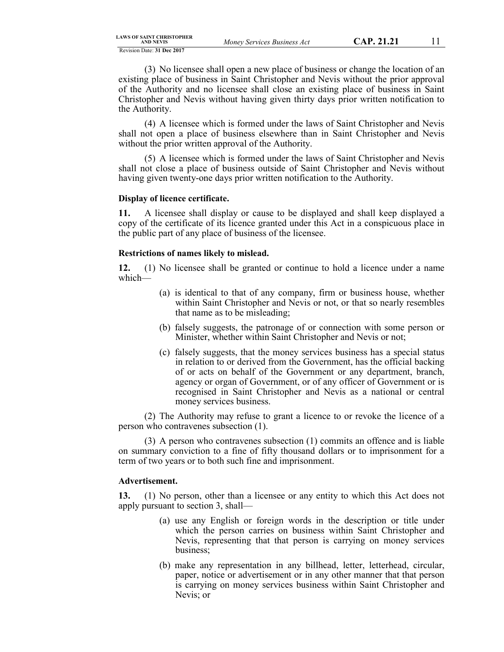(3) No licensee shall open a new place of business or change the location of an existing place of business in Saint Christopher and Nevis without the prior approval of the Authority and no licensee shall close an existing place of business in Saint Christopher and Nevis without having given thirty days prior written notification to the Authority.

(4) A licensee which is formed under the laws of Saint Christopher and Nevis shall not open a place of business elsewhere than in Saint Christopher and Nevis without the prior written approval of the Authority.

(5) A licensee which is formed under the laws of Saint Christopher and Nevis shall not close a place of business outside of Saint Christopher and Nevis without having given twenty-one days prior written notification to the Authority.

#### **Display of licence certificate.**

**11.** A licensee shall display or cause to be displayed and shall keep displayed a copy of the certificate of its licence granted under this Act in a conspicuous place in the public part of any place of business of the licensee.

#### **Restrictions of names likely to mislead.**

**12.** (1) No licensee shall be granted or continue to hold a licence under a name which—

- (a) is identical to that of any company, firm or business house, whether within Saint Christopher and Nevis or not, or that so nearly resembles that name as to be misleading;
- (b) falsely suggests, the patronage of or connection with some person or Minister, whether within Saint Christopher and Nevis or not;
- (c) falsely suggests, that the money services business has a special status in relation to or derived from the Government, has the official backing of or acts on behalf of the Government or any department, branch, agency or organ of Government, or of any officer of Government or is recognised in Saint Christopher and Nevis as a national or central money services business.

(2) The Authority may refuse to grant a licence to or revoke the licence of a person who contravenes subsection (1).

(3) A person who contravenes subsection (1) commits an offence and is liable on summary conviction to a fine of fifty thousand dollars or to imprisonment for a term of two years or to both such fine and imprisonment.

#### **Advertisement.**

**13.** (1) No person, other than a licensee or any entity to which this Act does not apply pursuant to section 3, shall—

- (a) use any English or foreign words in the description or title under which the person carries on business within Saint Christopher and Nevis, representing that that person is carrying on money services business;
- (b) make any representation in any billhead, letter, letterhead, circular, paper, notice or advertisement or in any other manner that that person is carrying on money services business within Saint Christopher and Nevis; or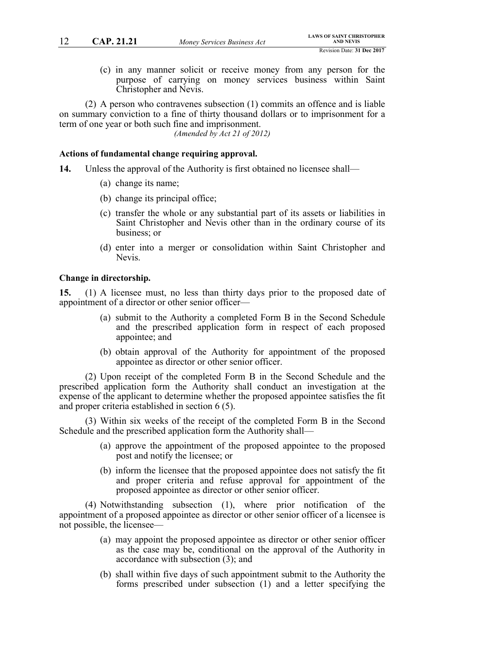(c) in any manner solicit or receive money from any person for the purpose of carrying on money services business within Saint Christopher and Nevis.

(2) A person who contravenes subsection (1) commits an offence and is liable on summary conviction to a fine of thirty thousand dollars or to imprisonment for a term of one year or both such fine and imprisonment.

*(Amended by Act 21 of 2012)*

## **Actions of fundamental change requiring approval.**

- **14.** Unless the approval of the Authority is first obtained no licensee shall—
	- (a) change its name;
	- (b) change its principal office;
	- (c) transfer the whole or any substantial part of its assets or liabilities in Saint Christopher and Nevis other than in the ordinary course of its business; or
	- (d) enter into a merger or consolidation within Saint Christopher and Nevis.

#### **Change in directorship.**

**15.** (1) A licensee must, no less than thirty days prior to the proposed date of appointment of a director or other senior officer—

- (a) submit to the Authority a completed Form B in the Second Schedule and the prescribed application form in respect of each proposed appointee; and
- (b) obtain approval of the Authority for appointment of the proposed appointee as director or other senior officer.

(2) Upon receipt of the completed Form B in the Second Schedule and the prescribed application form the Authority shall conduct an investigation at the expense of the applicant to determine whether the proposed appointee satisfies the fit and proper criteria established in section 6 (5).

(3) Within six weeks of the receipt of the completed Form B in the Second Schedule and the prescribed application form the Authority shall—

- (a) approve the appointment of the proposed appointee to the proposed post and notify the licensee; or
- (b) inform the licensee that the proposed appointee does not satisfy the fit and proper criteria and refuse approval for appointment of the proposed appointee as director or other senior officer.

(4) Notwithstanding subsection (1), where prior notification of the appointment of a proposed appointee as director or other senior officer of a licensee is not possible, the licensee—

- (a) may appoint the proposed appointee as director or other senior officer as the case may be, conditional on the approval of the Authority in accordance with subsection (3); and
- (b) shall within five days of such appointment submit to the Authority the forms prescribed under subsection (1) and a letter specifying the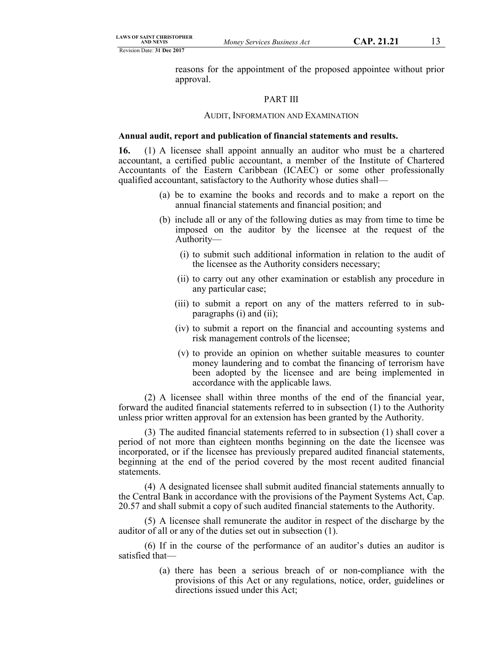reasons for the appointment of the proposed appointee without prior approval.

## PART III

#### AUDIT, INFORMATION AND EXAMINATION

#### **Annual audit, report and publication of financial statements and results.**

**16.** (1) A licensee shall appoint annually an auditor who must be a chartered accountant, a certified public accountant, a member of the Institute of Chartered Accountants of the Eastern Caribbean (ICAEC) or some other professionally qualified accountant, satisfactory to the Authority whose duties shall—

- (a) be to examine the books and records and to make a report on the annual financial statements and financial position; and
- (b) include all or any of the following duties as may from time to time be imposed on the auditor by the licensee at the request of the Authority—
	- (i) to submit such additional information in relation to the audit of the licensee as the Authority considers necessary;
	- (ii) to carry out any other examination or establish any procedure in any particular case;
	- (iii) to submit a report on any of the matters referred to in subparagraphs (i) and (ii);
	- (iv) to submit a report on the financial and accounting systems and risk management controls of the licensee;
	- (v) to provide an opinion on whether suitable measures to counter money laundering and to combat the financing of terrorism have been adopted by the licensee and are being implemented in accordance with the applicable laws.

(2) A licensee shall within three months of the end of the financial year, forward the audited financial statements referred to in subsection (1) to the Authority unless prior written approval for an extension has been granted by the Authority.

(3) The audited financial statements referred to in subsection (1) shall cover a period of not more than eighteen months beginning on the date the licensee was incorporated, or if the licensee has previously prepared audited financial statements, beginning at the end of the period covered by the most recent audited financial statements.

(4) A designated licensee shall submit audited financial statements annually to the Central Bank in accordance with the provisions of the Payment Systems Act, Cap. 20.57 and shall submit a copy of such audited financial statements to the Authority.

(5) A licensee shall remunerate the auditor in respect of the discharge by the auditor of all or any of the duties set out in subsection (1).

(6) If in the course of the performance of an auditor's duties an auditor is satisfied that—

> (a) there has been a serious breach of or non-compliance with the provisions of this Act or any regulations, notice, order, guidelines or directions issued under this Act;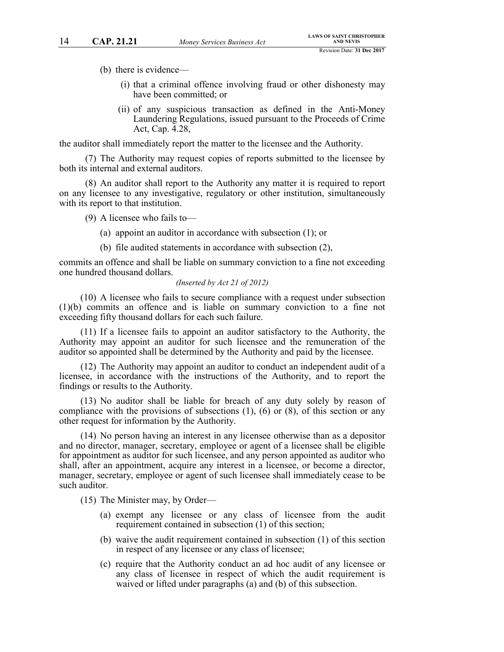- (b) there is evidence—
	- (i) that a criminal offence involving fraud or other dishonesty may have been committed; or
	- (ii) of any suspicious transaction as defined in the Anti-Money Laundering Regulations, issued pursuant to the Proceeds of Crime Act, Cap. 4.28,

the auditor shall immediately report the matter to the licensee and the Authority.

(7) The Authority may request copies of reports submitted to the licensee by both its internal and external auditors.

(8) An auditor shall report to the Authority any matter it is required to report on any licensee to any investigative, regulatory or other institution, simultaneously with its report to that institution.

(9) A licensee who fails to—

- (a) appoint an auditor in accordance with subsection (1); or
- (b) file audited statements in accordance with subsection (2),

commits an offence and shall be liable on summary conviction to a fine not exceeding one hundred thousand dollars.

#### *(Inserted by Act 21 of 2012)*

(10) A licensee who fails to secure compliance with a request under subsection (1)(b) commits an offence and is liable on summary conviction to a fine not exceeding fifty thousand dollars for each such failure.

(11) If a licensee fails to appoint an auditor satisfactory to the Authority, the Authority may appoint an auditor for such licensee and the remuneration of the auditor so appointed shall be determined by the Authority and paid by the licensee.

(12) The Authority may appoint an auditor to conduct an independent audit of a licensee, in accordance with the instructions of the Authority, and to report the findings or results to the Authority.

(13) No auditor shall be liable for breach of any duty solely by reason of compliance with the provisions of subsections (1), (6) or (8), of this section or any other request for information by the Authority.

(14) No person having an interest in any licensee otherwise than as a depositor and no director, manager, secretary, employee or agent of a licensee shall be eligible for appointment as auditor for such licensee, and any person appointed as auditor who shall, after an appointment, acquire any interest in a licensee, or become a director, manager, secretary, employee or agent of such licensee shall immediately cease to be such auditor.

(15) The Minister may, by Order—

- (a) exempt any licensee or any class of licensee from the audit requirement contained in subsection (1) of this section;
- (b) waive the audit requirement contained in subsection (1) of this section in respect of any licensee or any class of licensee;
- (c) require that the Authority conduct an ad hoc audit of any licensee or any class of licensee in respect of which the audit requirement is waived or lifted under paragraphs (a) and (b) of this subsection.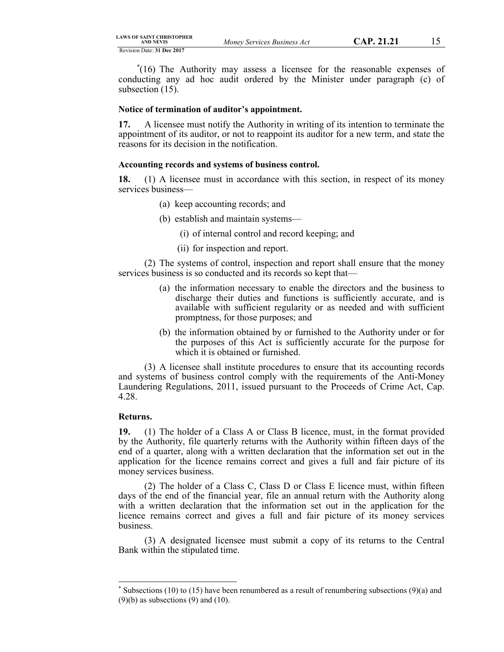[\\*](#page-14-0) (16) The Authority may assess a licensee for the reasonable expenses of conducting any ad hoc audit ordered by the Minister under paragraph (c) of subsection (15).

### **Notice of termination of auditor's appointment.**

**17.** A licensee must notify the Authority in writing of its intention to terminate the appointment of its auditor, or not to reappoint its auditor for a new term, and state the reasons for its decision in the notification.

#### **Accounting records and systems of business control.**

**18.** (1) A licensee must in accordance with this section, in respect of its money services business—

- (a) keep accounting records; and
- (b) establish and maintain systems—
	- (i) of internal control and record keeping; and
	- (ii) for inspection and report.

(2) The systems of control, inspection and report shall ensure that the money services business is so conducted and its records so kept that—

- (a) the information necessary to enable the directors and the business to discharge their duties and functions is sufficiently accurate, and is available with sufficient regularity or as needed and with sufficient promptness, for those purposes; and
- (b) the information obtained by or furnished to the Authority under or for the purposes of this Act is sufficiently accurate for the purpose for which it is obtained or furnished.

(3) A licensee shall institute procedures to ensure that its accounting records and systems of business control comply with the requirements of the Anti-Money Laundering Regulations, 2011, issued pursuant to the Proceeds of Crime Act, Cap. 4.28.

#### **Returns.**

**19.** (1) The holder of a Class A or Class B licence, must, in the format provided by the Authority, file quarterly returns with the Authority within fifteen days of the end of a quarter, along with a written declaration that the information set out in the application for the licence remains correct and gives a full and fair picture of its money services business.

(2) The holder of a Class C, Class D or Class E licence must, within fifteen days of the end of the financial year, file an annual return with the Authority along with a written declaration that the information set out in the application for the licence remains correct and gives a full and fair picture of its money services business.

(3) A designated licensee must submit a copy of its returns to the Central Bank within the stipulated time.

<span id="page-14-0"></span>Subsections (10) to (15) have been renumbered as a result of renumbering subsections (9)(a) and  $(9)(b)$  as subsections  $(9)$  and  $(10)$ .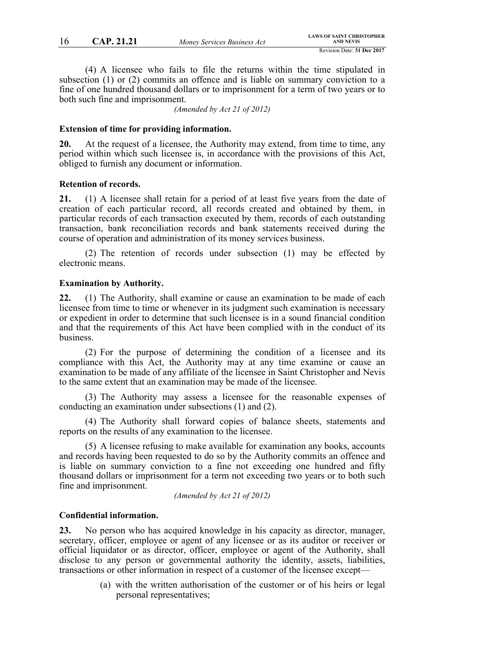(4) A licensee who fails to file the returns within the time stipulated in subsection (1) or (2) commits an offence and is liable on summary conviction to a fine of one hundred thousand dollars or to imprisonment for a term of two years or to both such fine and imprisonment.

*(Amended by Act 21 of 2012)*

## **Extension of time for providing information.**

**20.** At the request of a licensee, the Authority may extend, from time to time, any period within which such licensee is, in accordance with the provisions of this Act, obliged to furnish any document or information.

#### **Retention of records.**

**21.** (1) A licensee shall retain for a period of at least five years from the date of creation of each particular record, all records created and obtained by them, in particular records of each transaction executed by them, records of each outstanding transaction, bank reconciliation records and bank statements received during the course of operation and administration of its money services business.

(2) The retention of records under subsection (1) may be effected by electronic means.

#### **Examination by Authority.**

**22.** (1) The Authority, shall examine or cause an examination to be made of each licensee from time to time or whenever in its judgment such examination is necessary or expedient in order to determine that such licensee is in a sound financial condition and that the requirements of this Act have been complied with in the conduct of its business.

(2) For the purpose of determining the condition of a licensee and its compliance with this Act, the Authority may at any time examine or cause an examination to be made of any affiliate of the licensee in Saint Christopher and Nevis to the same extent that an examination may be made of the licensee.

(3) The Authority may assess a licensee for the reasonable expenses of conducting an examination under subsections (1) and (2).

(4) The Authority shall forward copies of balance sheets, statements and reports on the results of any examination to the licensee.

(5) A licensee refusing to make available for examination any books, accounts and records having been requested to do so by the Authority commits an offence and is liable on summary conviction to a fine not exceeding one hundred and fifty thousand dollars or imprisonment for a term not exceeding two years or to both such fine and imprisonment.

*(Amended by Act 21 of 2012)*

#### **Confidential information.**

**23.** No person who has acquired knowledge in his capacity as director, manager, secretary, officer, employee or agent of any licensee or as its auditor or receiver or official liquidator or as director, officer, employee or agent of the Authority, shall disclose to any person or governmental authority the identity, assets, liabilities, transactions or other information in respect of a customer of the licensee except—

> (a) with the written authorisation of the customer or of his heirs or legal personal representatives;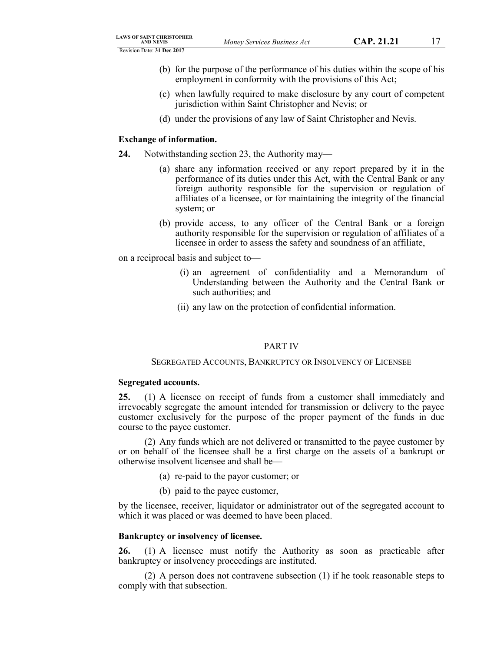- (b) for the purpose of the performance of his duties within the scope of his employment in conformity with the provisions of this Act;
- (c) when lawfully required to make disclosure by any court of competent jurisdiction within Saint Christopher and Nevis; or
- (d) under the provisions of any law of Saint Christopher and Nevis.

#### **Exchange of information.**

- **24.** Notwithstanding section 23, the Authority may—
	- (a) share any information received or any report prepared by it in the performance of its duties under this Act, with the Central Bank or any foreign authority responsible for the supervision or regulation of affiliates of a licensee, or for maintaining the integrity of the financial system; or
	- (b) provide access, to any officer of the Central Bank or a foreign authority responsible for the supervision or regulation of affiliates of a licensee in order to assess the safety and soundness of an affiliate,

on a reciprocal basis and subject to—

- (i) an agreement of confidentiality and a Memorandum of Understanding between the Authority and the Central Bank or such authorities; and
- (ii) any law on the protection of confidential information.

#### PART IV

#### SEGREGATED ACCOUNTS, BANKRUPTCY OR INSOLVENCY OF LICENSEE

#### **Segregated accounts.**

**25.** (1) A licensee on receipt of funds from a customer shall immediately and irrevocably segregate the amount intended for transmission or delivery to the payee customer exclusively for the purpose of the proper payment of the funds in due course to the payee customer.

(2) Any funds which are not delivered or transmitted to the payee customer by or on behalf of the licensee shall be a first charge on the assets of a bankrupt or otherwise insolvent licensee and shall be—

- (a) re-paid to the payor customer; or
- (b) paid to the payee customer,

by the licensee, receiver, liquidator or administrator out of the segregated account to which it was placed or was deemed to have been placed.

## **Bankruptcy or insolvency of licensee.**

**26.** (1) A licensee must notify the Authority as soon as practicable after bankruptcy or insolvency proceedings are instituted.

(2) A person does not contravene subsection (1) if he took reasonable steps to comply with that subsection.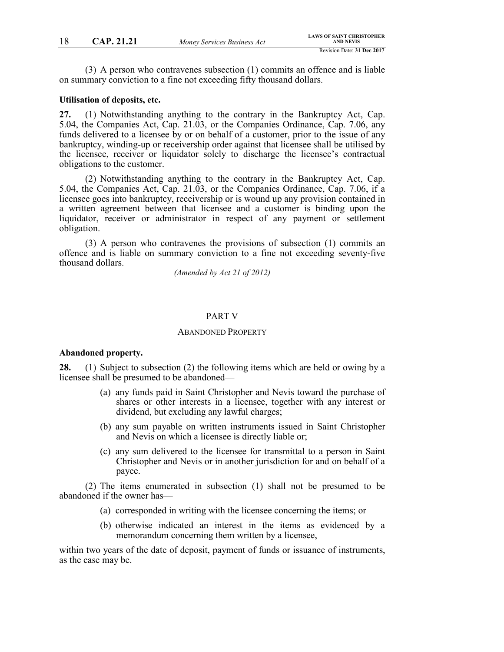(3) A person who contravenes subsection (1) commits an offence and is liable on summary conviction to a fine not exceeding fifty thousand dollars.

#### **Utilisation of deposits, etc.**

**27.** (1) Notwithstanding anything to the contrary in the Bankruptcy Act, Cap. 5.04, the Companies Act, Cap. 21.03, or the Companies Ordinance, Cap. 7.06, any funds delivered to a licensee by or on behalf of a customer, prior to the issue of any bankruptcy, winding-up or receivership order against that licensee shall be utilised by the licensee, receiver or liquidator solely to discharge the licensee's contractual obligations to the customer.

(2) Notwithstanding anything to the contrary in the Bankruptcy Act, Cap. 5.04, the Companies Act, Cap. 21.03, or the Companies Ordinance, Cap. 7.06, if a licensee goes into bankruptcy, receivership or is wound up any provision contained in a written agreement between that licensee and a customer is binding upon the liquidator, receiver or administrator in respect of any payment or settlement obligation.

(3) A person who contravenes the provisions of subsection (1) commits an offence and is liable on summary conviction to a fine not exceeding seventy-five thousand dollars.

*(Amended by Act 21 of 2012)*

### PART V

#### ABANDONED PROPERTY

## **Abandoned property.**

**28.** (1) Subject to subsection (2) the following items which are held or owing by a licensee shall be presumed to be abandoned—

- (a) any funds paid in Saint Christopher and Nevis toward the purchase of shares or other interests in a licensee, together with any interest or dividend, but excluding any lawful charges;
- (b) any sum payable on written instruments issued in Saint Christopher and Nevis on which a licensee is directly liable or;
- (c) any sum delivered to the licensee for transmittal to a person in Saint Christopher and Nevis or in another jurisdiction for and on behalf of a payee.

(2) The items enumerated in subsection (1) shall not be presumed to be abandoned if the owner has—

- (a) corresponded in writing with the licensee concerning the items; or
- (b) otherwise indicated an interest in the items as evidenced by a memorandum concerning them written by a licensee,

within two years of the date of deposit, payment of funds or issuance of instruments, as the case may be.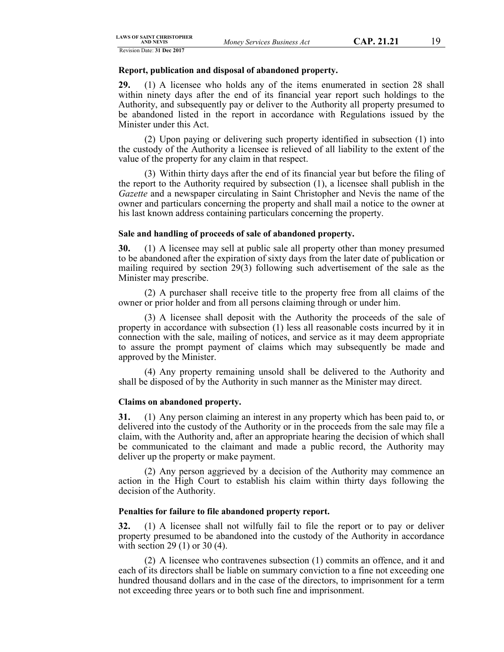#### **Report, publication and disposal of abandoned property.**

**29.** (1) A licensee who holds any of the items enumerated in section 28 shall within ninety days after the end of its financial year report such holdings to the Authority, and subsequently pay or deliver to the Authority all property presumed to be abandoned listed in the report in accordance with Regulations issued by the Minister under this Act.

(2) Upon paying or delivering such property identified in subsection (1) into the custody of the Authority a licensee is relieved of all liability to the extent of the value of the property for any claim in that respect.

(3) Within thirty days after the end of its financial year but before the filing of the report to the Authority required by subsection (1), a licensee shall publish in the *Gazette* and a newspaper circulating in Saint Christopher and Nevis the name of the owner and particulars concerning the property and shall mail a notice to the owner at his last known address containing particulars concerning the property.

#### **Sale and handling of proceeds of sale of abandoned property.**

**30.** (1) A licensee may sell at public sale all property other than money presumed to be abandoned after the expiration of sixty days from the later date of publication or mailing required by section 29(3) following such advertisement of the sale as the Minister may prescribe.

(2) A purchaser shall receive title to the property free from all claims of the owner or prior holder and from all persons claiming through or under him.

(3) A licensee shall deposit with the Authority the proceeds of the sale of property in accordance with subsection (1) less all reasonable costs incurred by it in connection with the sale, mailing of notices, and service as it may deem appropriate to assure the prompt payment of claims which may subsequently be made and approved by the Minister.

(4) Any property remaining unsold shall be delivered to the Authority and shall be disposed of by the Authority in such manner as the Minister may direct.

## **Claims on abandoned property.**

**31.** (1) Any person claiming an interest in any property which has been paid to, or delivered into the custody of the Authority or in the proceeds from the sale may file a claim, with the Authority and, after an appropriate hearing the decision of which shall be communicated to the claimant and made a public record, the Authority may deliver up the property or make payment.

(2) Any person aggrieved by a decision of the Authority may commence an action in the High Court to establish his claim within thirty days following the decision of the Authority.

## **Penalties for failure to file abandoned property report.**

**32.** (1) A licensee shall not wilfully fail to file the report or to pay or deliver property presumed to be abandoned into the custody of the Authority in accordance with section 29 (1) or 30 (4).

(2) A licensee who contravenes subsection (1) commits an offence, and it and each of its directors shall be liable on summary conviction to a fine not exceeding one hundred thousand dollars and in the case of the directors, to imprisonment for a term not exceeding three years or to both such fine and imprisonment.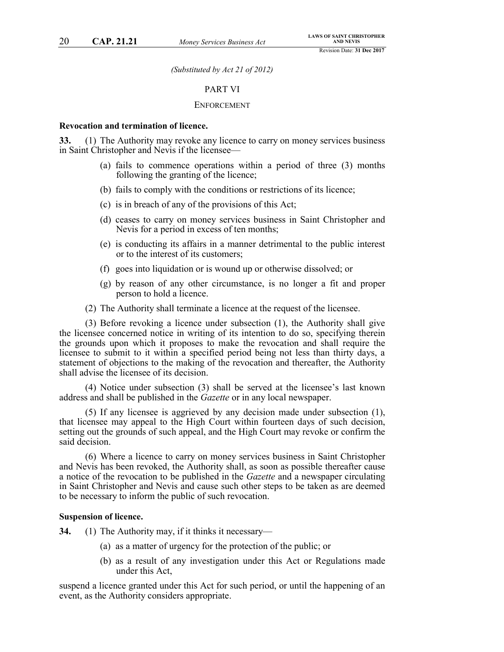*(Substituted by Act 21 of 2012)*

#### PART VI

#### ENFORCEMENT

#### **Revocation and termination of licence.**

**33.** (1) The Authority may revoke any licence to carry on money services business in Saint Christopher and Nevis if the licensee—

- (a) fails to commence operations within a period of three (3) months following the granting of the licence;
- (b) fails to comply with the conditions or restrictions of its licence;
- (c) is in breach of any of the provisions of this Act;
- (d) ceases to carry on money services business in Saint Christopher and Nevis for a period in excess of ten months;
- (e) is conducting its affairs in a manner detrimental to the public interest or to the interest of its customers;
- (f) goes into liquidation or is wound up or otherwise dissolved; or
- (g) by reason of any other circumstance, is no longer a fit and proper person to hold a licence.
- (2) The Authority shall terminate a licence at the request of the licensee.

(3) Before revoking a licence under subsection (1), the Authority shall give the licensee concerned notice in writing of its intention to do so, specifying therein the grounds upon which it proposes to make the revocation and shall require the licensee to submit to it within a specified period being not less than thirty days, a statement of objections to the making of the revocation and thereafter, the Authority shall advise the licensee of its decision.

(4) Notice under subsection (3) shall be served at the licensee's last known address and shall be published in the *Gazette* or in any local newspaper.

(5) If any licensee is aggrieved by any decision made under subsection (1), that licensee may appeal to the High Court within fourteen days of such decision, setting out the grounds of such appeal, and the High Court may revoke or confirm the said decision.

(6) Where a licence to carry on money services business in Saint Christopher and Nevis has been revoked, the Authority shall, as soon as possible thereafter cause a notice of the revocation to be published in the *Gazette* and a newspaper circulating in Saint Christopher and Nevis and cause such other steps to be taken as are deemed to be necessary to inform the public of such revocation.

#### **Suspension of licence.**

**34.** (1) The Authority may, if it thinks it necessary—

- (a) as a matter of urgency for the protection of the public; or
- (b) as a result of any investigation under this Act or Regulations made under this Act,

suspend a licence granted under this Act for such period, or until the happening of an event, as the Authority considers appropriate.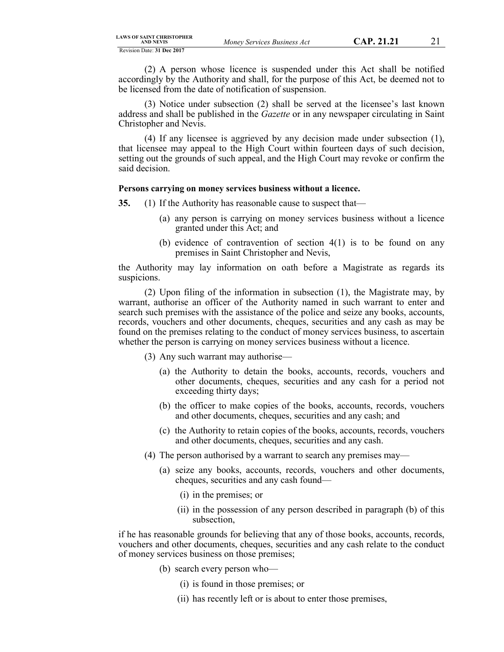(2) A person whose licence is suspended under this Act shall be notified accordingly by the Authority and shall, for the purpose of this Act, be deemed not to be licensed from the date of notification of suspension.

(3) Notice under subsection (2) shall be served at the licensee's last known address and shall be published in the *Gazette* or in any newspaper circulating in Saint Christopher and Nevis.

(4) If any licensee is aggrieved by any decision made under subsection (1), that licensee may appeal to the High Court within fourteen days of such decision, setting out the grounds of such appeal, and the High Court may revoke or confirm the said decision.

#### **Persons carrying on money services business without a licence.**

- **35.** (1) If the Authority has reasonable cause to suspect that—
	- (a) any person is carrying on money services business without a licence granted under this Act; and
	- (b) evidence of contravention of section  $4(1)$  is to be found on any premises in Saint Christopher and Nevis,

the Authority may lay information on oath before a Magistrate as regards its suspicions.

(2) Upon filing of the information in subsection (1), the Magistrate may, by warrant, authorise an officer of the Authority named in such warrant to enter and search such premises with the assistance of the police and seize any books, accounts, records, vouchers and other documents, cheques, securities and any cash as may be found on the premises relating to the conduct of money services business, to ascertain whether the person is carrying on money services business without a licence.

(3) Any such warrant may authorise—

- (a) the Authority to detain the books, accounts, records, vouchers and other documents, cheques, securities and any cash for a period not exceeding thirty days;
- (b) the officer to make copies of the books, accounts, records, vouchers and other documents, cheques, securities and any cash; and
- (c) the Authority to retain copies of the books, accounts, records, vouchers and other documents, cheques, securities and any cash.
- (4) The person authorised by a warrant to search any premises may—
	- (a) seize any books, accounts, records, vouchers and other documents, cheques, securities and any cash found—
		- (i) in the premises; or
		- (ii) in the possession of any person described in paragraph (b) of this subsection,

if he has reasonable grounds for believing that any of those books, accounts, records, vouchers and other documents, cheques, securities and any cash relate to the conduct of money services business on those premises;

- (b) search every person who—
	- (i) is found in those premises; or
	- (ii) has recently left or is about to enter those premises,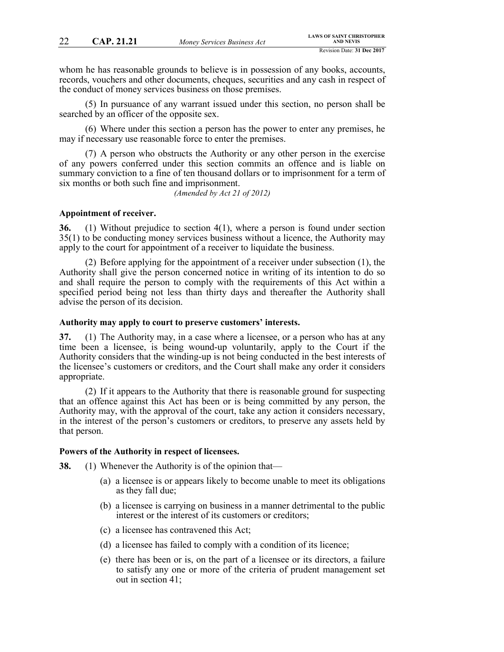whom he has reasonable grounds to believe is in possession of any books, accounts, records, vouchers and other documents, cheques, securities and any cash in respect of the conduct of money services business on those premises.

(5) In pursuance of any warrant issued under this section, no person shall be searched by an officer of the opposite sex.

(6) Where under this section a person has the power to enter any premises, he may if necessary use reasonable force to enter the premises.

(7) A person who obstructs the Authority or any other person in the exercise of any powers conferred under this section commits an offence and is liable on summary conviction to a fine of ten thousand dollars or to imprisonment for a term of six months or both such fine and imprisonment.

*(Amended by Act 21 of 2012)*

#### **Appointment of receiver.**

**36.** (1) Without prejudice to section 4(1), where a person is found under section 35(1) to be conducting money services business without a licence, the Authority may apply to the court for appointment of a receiver to liquidate the business.

(2) Before applying for the appointment of a receiver under subsection (1), the Authority shall give the person concerned notice in writing of its intention to do so and shall require the person to comply with the requirements of this Act within a specified period being not less than thirty days and thereafter the Authority shall advise the person of its decision.

## **Authority may apply to court to preserve customers' interests.**

**37.** (1) The Authority may, in a case where a licensee, or a person who has at any time been a licensee, is being wound-up voluntarily, apply to the Court if the Authority considers that the winding-up is not being conducted in the best interests of the licensee's customers or creditors, and the Court shall make any order it considers appropriate.

(2) If it appears to the Authority that there is reasonable ground for suspecting that an offence against this Act has been or is being committed by any person, the Authority may, with the approval of the court, take any action it considers necessary, in the interest of the person's customers or creditors, to preserve any assets held by that person.

#### **Powers of the Authority in respect of licensees.**

**38.** (1) Whenever the Authority is of the opinion that—

- (a) a licensee is or appears likely to become unable to meet its obligations as they fall due;
- (b) a licensee is carrying on business in a manner detrimental to the public interest or the interest of its customers or creditors;
- (c) a licensee has contravened this Act;
- (d) a licensee has failed to comply with a condition of its licence;
- (e) there has been or is, on the part of a licensee or its directors, a failure to satisfy any one or more of the criteria of prudent management set out in section 41;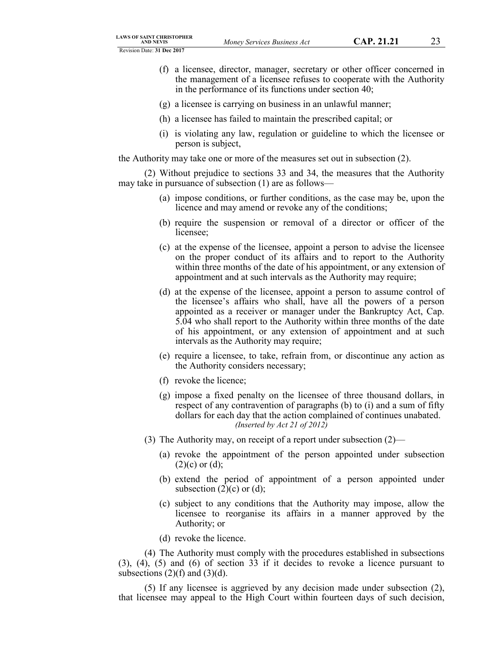- (f) a licensee, director, manager, secretary or other officer concerned in the management of a licensee refuses to cooperate with the Authority in the performance of its functions under section 40;
- (g) a licensee is carrying on business in an unlawful manner;
- (h) a licensee has failed to maintain the prescribed capital; or
- (i) is violating any law, regulation or guideline to which the licensee or person is subject,

the Authority may take one or more of the measures set out in subsection (2).

(2) Without prejudice to sections 33 and 34, the measures that the Authority may take in pursuance of subsection (1) are as follows—

- (a) impose conditions, or further conditions, as the case may be, upon the licence and may amend or revoke any of the conditions;
- (b) require the suspension or removal of a director or officer of the licensee;
- (c) at the expense of the licensee, appoint a person to advise the licensee on the proper conduct of its affairs and to report to the Authority within three months of the date of his appointment, or any extension of appointment and at such intervals as the Authority may require;
- (d) at the expense of the licensee, appoint a person to assume control of the licensee's affairs who shall, have all the powers of a person appointed as a receiver or manager under the Bankruptcy Act, Cap. 5.04 who shall report to the Authority within three months of the date of his appointment, or any extension of appointment and at such intervals as the Authority may require;
- (e) require a licensee, to take, refrain from, or discontinue any action as the Authority considers necessary;
- (f) revoke the licence;
- (g) impose a fixed penalty on the licensee of three thousand dollars, in respect of any contravention of paragraphs (b) to (i) and a sum of fifty dollars for each day that the action complained of continues unabated. *(Inserted by Act 21 of 2012)*
- (3) The Authority may, on receipt of a report under subsection (2)—
	- (a) revoke the appointment of the person appointed under subsection  $(2)(c)$  or  $(d)$ ;
	- (b) extend the period of appointment of a person appointed under subsection  $(2)(c)$  or  $(d)$ ;
	- (c) subject to any conditions that the Authority may impose, allow the licensee to reorganise its affairs in a manner approved by the Authority; or
	- (d) revoke the licence.

(4) The Authority must comply with the procedures established in subsections (3), (4), (5) and (6) of section 33 if it decides to revoke a licence pursuant to subsections  $(2)(f)$  and  $(3)(d)$ .

(5) If any licensee is aggrieved by any decision made under subsection (2), that licensee may appeal to the High Court within fourteen days of such decision,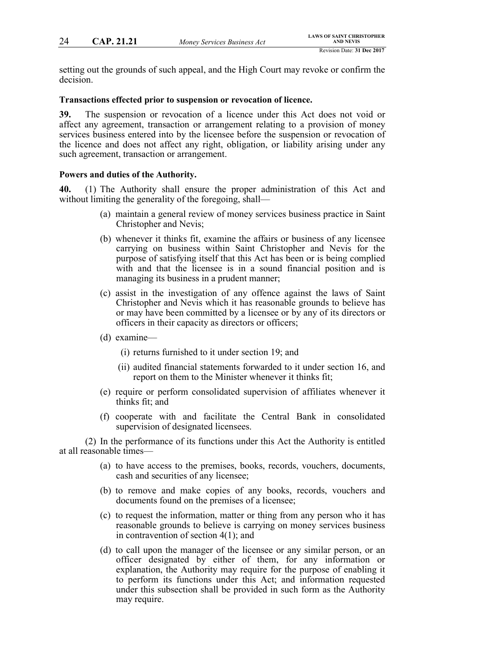setting out the grounds of such appeal, and the High Court may revoke or confirm the decision.

## **Transactions effected prior to suspension or revocation of licence.**

**39.** The suspension or revocation of a licence under this Act does not void or affect any agreement, transaction or arrangement relating to a provision of money services business entered into by the licensee before the suspension or revocation of the licence and does not affect any right, obligation, or liability arising under any such agreement, transaction or arrangement.

## **Powers and duties of the Authority.**

**40.** (1) The Authority shall ensure the proper administration of this Act and without limiting the generality of the foregoing, shall—

- (a) maintain a general review of money services business practice in Saint Christopher and Nevis;
- (b) whenever it thinks fit, examine the affairs or business of any licensee carrying on business within Saint Christopher and Nevis for the purpose of satisfying itself that this Act has been or is being complied with and that the licensee is in a sound financial position and is managing its business in a prudent manner;
- (c) assist in the investigation of any offence against the laws of Saint Christopher and Nevis which it has reasonable grounds to believe has or may have been committed by a licensee or by any of its directors or officers in their capacity as directors or officers;
- (d) examine—
	- (i) returns furnished to it under section 19; and
	- (ii) audited financial statements forwarded to it under section 16, and report on them to the Minister whenever it thinks fit;
- (e) require or perform consolidated supervision of affiliates whenever it thinks fit; and
- (f) cooperate with and facilitate the Central Bank in consolidated supervision of designated licensees.

(2) In the performance of its functions under this Act the Authority is entitled at all reasonable times—

- (a) to have access to the premises, books, records, vouchers, documents, cash and securities of any licensee;
- (b) to remove and make copies of any books, records, vouchers and documents found on the premises of a licensee;
- (c) to request the information, matter or thing from any person who it has reasonable grounds to believe is carrying on money services business in contravention of section 4(1); and
- (d) to call upon the manager of the licensee or any similar person, or an officer designated by either of them, for any information or explanation, the Authority may require for the purpose of enabling it to perform its functions under this Act; and information requested under this subsection shall be provided in such form as the Authority may require.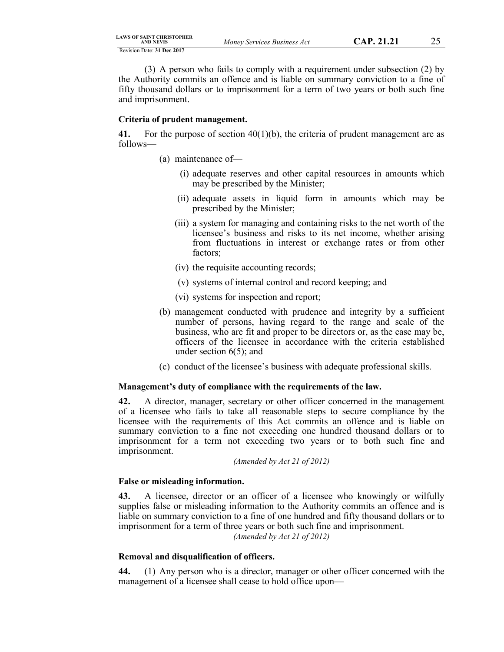(3) A person who fails to comply with a requirement under subsection (2) by the Authority commits an offence and is liable on summary conviction to a fine of fifty thousand dollars or to imprisonment for a term of two years or both such fine and imprisonment.

#### **Criteria of prudent management.**

**41.** For the purpose of section 40(1)(b), the criteria of prudent management are as follows—

- (a) maintenance of—
	- (i) adequate reserves and other capital resources in amounts which may be prescribed by the Minister;
	- (ii) adequate assets in liquid form in amounts which may be prescribed by the Minister;
	- (iii) a system for managing and containing risks to the net worth of the licensee's business and risks to its net income, whether arising from fluctuations in interest or exchange rates or from other factors;
	- (iv) the requisite accounting records;
	- (v) systems of internal control and record keeping; and
	- (vi) systems for inspection and report;
- (b) management conducted with prudence and integrity by a sufficient number of persons, having regard to the range and scale of the business, who are fit and proper to be directors or, as the case may be, officers of the licensee in accordance with the criteria established under section 6(5); and
- (c) conduct of the licensee's business with adequate professional skills.

#### **Management's duty of compliance with the requirements of the law.**

**42.** A director, manager, secretary or other officer concerned in the management of a licensee who fails to take all reasonable steps to secure compliance by the licensee with the requirements of this Act commits an offence and is liable on summary conviction to a fine not exceeding one hundred thousand dollars or to imprisonment for a term not exceeding two years or to both such fine and imprisonment.

*(Amended by Act 21 of 2012)*

#### **False or misleading information.**

**43.** A licensee, director or an officer of a licensee who knowingly or wilfully supplies false or misleading information to the Authority commits an offence and is liable on summary conviction to a fine of one hundred and fifty thousand dollars or to imprisonment for a term of three years or both such fine and imprisonment.

*(Amended by Act 21 of 2012)*

## **Removal and disqualification of officers.**

**44.** (1) Any person who is a director, manager or other officer concerned with the management of a licensee shall cease to hold office upon—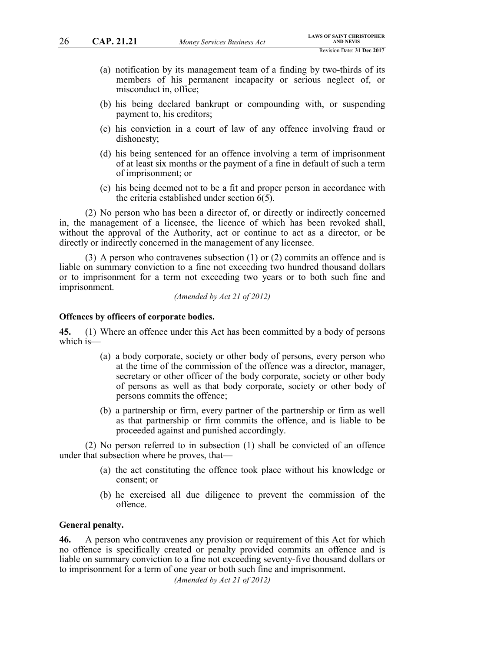- (a) notification by its management team of a finding by two-thirds of its members of his permanent incapacity or serious neglect of, or misconduct in, office;
- (b) his being declared bankrupt or compounding with, or suspending payment to, his creditors;
- (c) his conviction in a court of law of any offence involving fraud or dishonesty;
- (d) his being sentenced for an offence involving a term of imprisonment of at least six months or the payment of a fine in default of such a term of imprisonment; or
- (e) his being deemed not to be a fit and proper person in accordance with the criteria established under section 6(5).

(2) No person who has been a director of, or directly or indirectly concerned in, the management of a licensee, the licence of which has been revoked shall, without the approval of the Authority, act or continue to act as a director, or be directly or indirectly concerned in the management of any licensee.

(3) A person who contravenes subsection (1) or (2) commits an offence and is liable on summary conviction to a fine not exceeding two hundred thousand dollars or to imprisonment for a term not exceeding two years or to both such fine and imprisonment.

*(Amended by Act 21 of 2012)*

## **Offences by officers of corporate bodies.**

**45.** (1) Where an offence under this Act has been committed by a body of persons which is—

- (a) a body corporate, society or other body of persons, every person who at the time of the commission of the offence was a director, manager, secretary or other officer of the body corporate, society or other body of persons as well as that body corporate, society or other body of persons commits the offence;
- (b) a partnership or firm, every partner of the partnership or firm as well as that partnership or firm commits the offence, and is liable to be proceeded against and punished accordingly.

(2) No person referred to in subsection (1) shall be convicted of an offence under that subsection where he proves, that—

- (a) the act constituting the offence took place without his knowledge or consent; or
- (b) he exercised all due diligence to prevent the commission of the offence.

## **General penalty.**

**46.** A person who contravenes any provision or requirement of this Act for which no offence is specifically created or penalty provided commits an offence and is liable on summary conviction to a fine not exceeding seventy-five thousand dollars or to imprisonment for a term of one year or both such fine and imprisonment.

*(Amended by Act 21 of 2012)*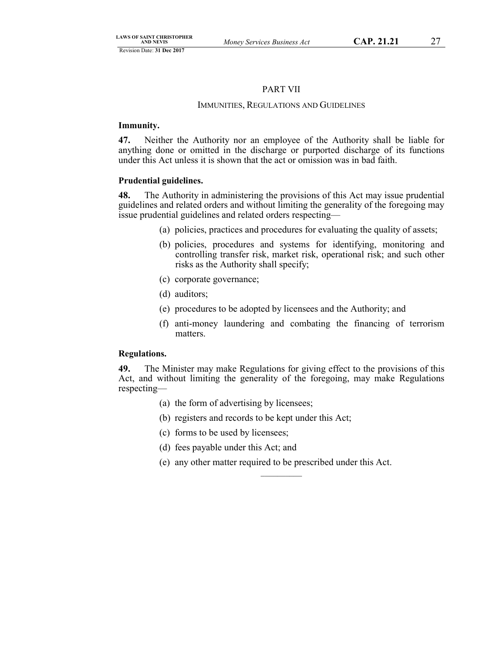## PART VII

## IMMUNITIES, REGULATIONS AND GUIDELINES

## **Immunity.**

**47.** Neither the Authority nor an employee of the Authority shall be liable for anything done or omitted in the discharge or purported discharge of its functions under this Act unless it is shown that the act or omission was in bad faith.

## **Prudential guidelines.**

**48.** The Authority in administering the provisions of this Act may issue prudential guidelines and related orders and without limiting the generality of the foregoing may issue prudential guidelines and related orders respecting—

- (a) policies, practices and procedures for evaluating the quality of assets;
- (b) policies, procedures and systems for identifying, monitoring and controlling transfer risk, market risk, operational risk; and such other risks as the Authority shall specify;
- (c) corporate governance;
- (d) auditors;
- (e) procedures to be adopted by licensees and the Authority; and
- (f) anti-money laundering and combating the financing of terrorism matters.

## **Regulations.**

**49.** The Minister may make Regulations for giving effect to the provisions of this Act, and without limiting the generality of the foregoing, may make Regulations respecting—

- (a) the form of advertising by licensees;
- (b) registers and records to be kept under this Act;
- (c) forms to be used by licensees;
- (d) fees payable under this Act; and
- (e) any other matter required to be prescribed under this Act.

 $\mathcal{L}$  , we have the set of  $\mathcal{L}$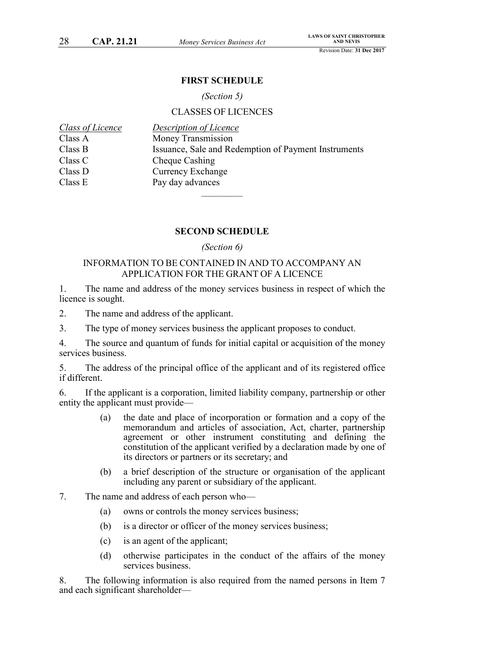## **FIRST SCHEDULE**

## *(Section 5)*

## CLASSES OF LICENCES

| Class of Licence | Description of Licence                               |
|------------------|------------------------------------------------------|
| Class A          | Money Transmission                                   |
| Class B          | Issuance, Sale and Redemption of Payment Instruments |
| Class C          | Cheque Cashing                                       |
| Class D          | <b>Currency Exchange</b>                             |
| Class E          | Pay day advances                                     |
|                  |                                                      |

## **SECOND SCHEDULE**

## *(Section 6)*

## INFORMATION TO BE CONTAINED IN AND TO ACCOMPANY AN APPLICATION FOR THE GRANT OF A LICENCE

1. The name and address of the money services business in respect of which the licence is sought.

2. The name and address of the applicant.

3. The type of money services business the applicant proposes to conduct.

4. The source and quantum of funds for initial capital or acquisition of the money services business.

5. The address of the principal office of the applicant and of its registered office if different.

6. If the applicant is a corporation, limited liability company, partnership or other entity the applicant must provide—

- (a) the date and place of incorporation or formation and a copy of the memorandum and articles of association, Act, charter, partnership agreement or other instrument constituting and defining the constitution of the applicant verified by a declaration made by one of its directors or partners or its secretary; and
- (b) a brief description of the structure or organisation of the applicant including any parent or subsidiary of the applicant.
- 7. The name and address of each person who—
	- (a) owns or controls the money services business;
	- (b) is a director or officer of the money services business;
	- (c) is an agent of the applicant;
	- (d) otherwise participates in the conduct of the affairs of the money services business.

8. The following information is also required from the named persons in Item 7 and each significant shareholder—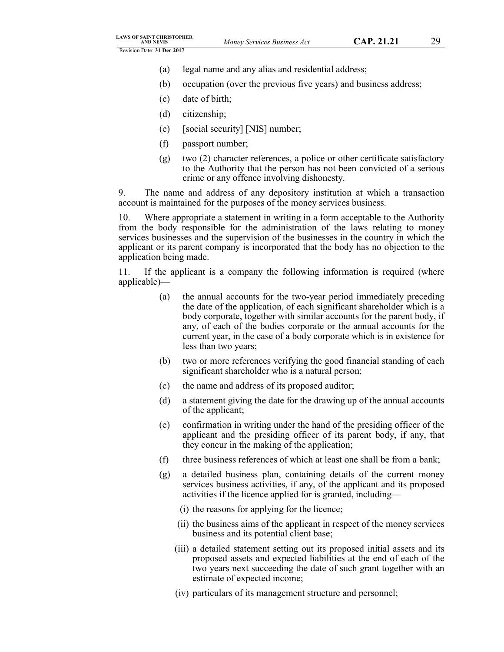- (a) legal name and any alias and residential address;
- (b) occupation (over the previous five years) and business address;
- (c) date of birth;
- (d) citizenship;
- (e) [social security] [NIS] number;
- (f) passport number;
- (g) two (2) character references, a police or other certificate satisfactory to the Authority that the person has not been convicted of a serious crime or any offence involving dishonesty.

9. The name and address of any depository institution at which a transaction account is maintained for the purposes of the money services business.

10. Where appropriate a statement in writing in a form acceptable to the Authority from the body responsible for the administration of the laws relating to money services businesses and the supervision of the businesses in the country in which the applicant or its parent company is incorporated that the body has no objection to the application being made.

11. If the applicant is a company the following information is required (where applicable)—

- (a) the annual accounts for the two-year period immediately preceding the date of the application, of each significant shareholder which is a body corporate, together with similar accounts for the parent body, if any, of each of the bodies corporate or the annual accounts for the current year, in the case of a body corporate which is in existence for less than two years;
- (b) two or more references verifying the good financial standing of each significant shareholder who is a natural person;
- (c) the name and address of its proposed auditor;
- (d) a statement giving the date for the drawing up of the annual accounts of the applicant;
- (e) confirmation in writing under the hand of the presiding officer of the applicant and the presiding officer of its parent body, if any, that they concur in the making of the application;
- (f) three business references of which at least one shall be from a bank;
- (g) a detailed business plan, containing details of the current money services business activities, if any, of the applicant and its proposed activities if the licence applied for is granted, including—
	- (i) the reasons for applying for the licence;
	- (ii) the business aims of the applicant in respect of the money services business and its potential client base;
	- (iii) a detailed statement setting out its proposed initial assets and its proposed assets and expected liabilities at the end of each of the two years next succeeding the date of such grant together with an estimate of expected income;
	- (iv) particulars of its management structure and personnel;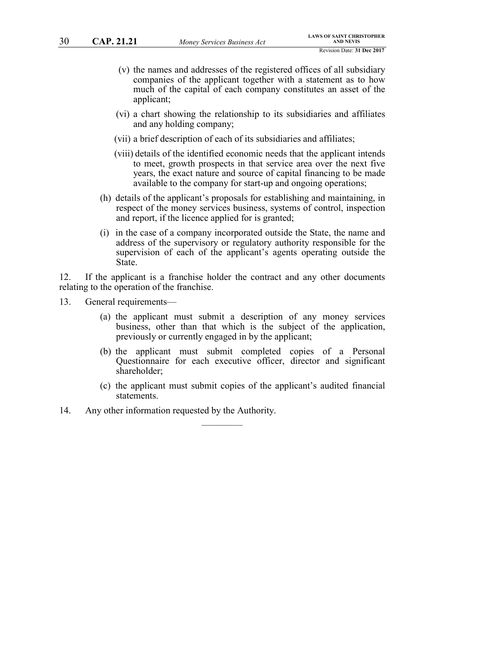- (v) the names and addresses of the registered offices of all subsidiary companies of the applicant together with a statement as to how much of the capital of each company constitutes an asset of the applicant;
- (vi) a chart showing the relationship to its subsidiaries and affiliates and any holding company;
- (vii) a brief description of each of its subsidiaries and affiliates;
- (viii) details of the identified economic needs that the applicant intends to meet, growth prospects in that service area over the next five years, the exact nature and source of capital financing to be made available to the company for start-up and ongoing operations;
- (h) details of the applicant's proposals for establishing and maintaining, in respect of the money services business, systems of control, inspection and report, if the licence applied for is granted;
- (i) in the case of a company incorporated outside the State, the name and address of the supervisory or regulatory authority responsible for the supervision of each of the applicant's agents operating outside the State.

12. If the applicant is a franchise holder the contract and any other documents relating to the operation of the franchise.

- 13. General requirements—
	- (a) the applicant must submit a description of any money services business, other than that which is the subject of the application, previously or currently engaged in by the applicant;
	- (b) the applicant must submit completed copies of a Personal Questionnaire for each executive officer, director and significant shareholder;
	- (c) the applicant must submit copies of the applicant's audited financial statements.

 $\mathcal{L}=\mathcal{L}$ 

14. Any other information requested by the Authority.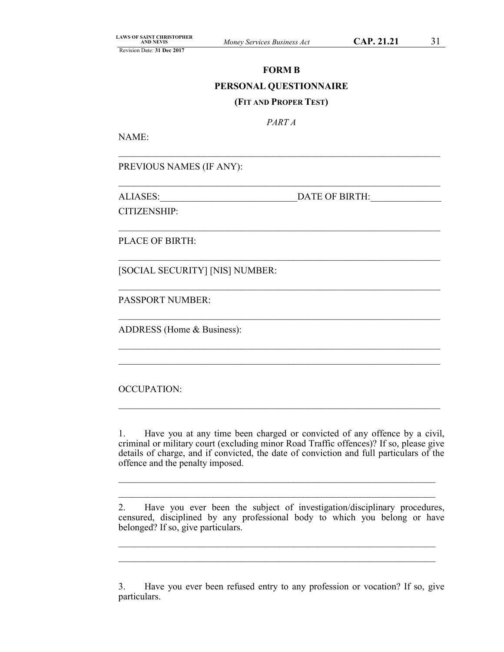# **FORM B PERSONAL QUESTIONNAIRE (FIT AND PROPER TEST)**

*PART A*

\_\_\_\_\_\_\_\_\_\_\_\_\_\_\_\_\_\_\_\_\_\_\_\_\_\_\_\_\_\_\_\_\_\_\_\_\_\_\_\_\_\_\_\_\_\_\_\_\_\_\_\_\_\_\_\_\_\_\_\_\_\_\_\_\_\_\_\_

\_\_\_\_\_\_\_\_\_\_\_\_\_\_\_\_\_\_\_\_\_\_\_\_\_\_\_\_\_\_\_\_\_\_\_\_\_\_\_\_\_\_\_\_\_\_\_\_\_\_\_\_\_\_\_\_\_\_\_\_\_\_\_\_\_\_\_\_

\_\_\_\_\_\_\_\_\_\_\_\_\_\_\_\_\_\_\_\_\_\_\_\_\_\_\_\_\_\_\_\_\_\_\_\_\_\_\_\_\_\_\_\_\_\_\_\_\_\_\_\_\_\_\_\_\_\_\_\_\_\_\_\_\_\_\_\_

\_\_\_\_\_\_\_\_\_\_\_\_\_\_\_\_\_\_\_\_\_\_\_\_\_\_\_\_\_\_\_\_\_\_\_\_\_\_\_\_\_\_\_\_\_\_\_\_\_\_\_\_\_\_\_\_\_\_\_\_\_\_\_\_\_\_\_\_

\_\_\_\_\_\_\_\_\_\_\_\_\_\_\_\_\_\_\_\_\_\_\_\_\_\_\_\_\_\_\_\_\_\_\_\_\_\_\_\_\_\_\_\_\_\_\_\_\_\_\_\_\_\_\_\_\_\_\_\_\_\_\_\_\_\_\_\_

\_\_\_\_\_\_\_\_\_\_\_\_\_\_\_\_\_\_\_\_\_\_\_\_\_\_\_\_\_\_\_\_\_\_\_\_\_\_\_\_\_\_\_\_\_\_\_\_\_\_\_\_\_\_\_\_\_\_\_\_\_\_\_\_\_\_\_\_

\_\_\_\_\_\_\_\_\_\_\_\_\_\_\_\_\_\_\_\_\_\_\_\_\_\_\_\_\_\_\_\_\_\_\_\_\_\_\_\_\_\_\_\_\_\_\_\_\_\_\_\_\_\_\_\_\_\_\_\_\_\_\_\_\_\_\_\_  $\mathcal{L}_\mathcal{L} = \mathcal{L}_\mathcal{L} = \mathcal{L}_\mathcal{L} = \mathcal{L}_\mathcal{L} = \mathcal{L}_\mathcal{L} = \mathcal{L}_\mathcal{L} = \mathcal{L}_\mathcal{L} = \mathcal{L}_\mathcal{L} = \mathcal{L}_\mathcal{L} = \mathcal{L}_\mathcal{L} = \mathcal{L}_\mathcal{L} = \mathcal{L}_\mathcal{L} = \mathcal{L}_\mathcal{L} = \mathcal{L}_\mathcal{L} = \mathcal{L}_\mathcal{L} = \mathcal{L}_\mathcal{L} = \mathcal{L}_\mathcal{L}$ 

NAME:

PREVIOUS NAMES (IF ANY):

ALIASES: DATE OF BIRTH:

CITIZENSHIP:

PLACE OF BIRTH:

[SOCIAL SECURITY] [NIS] NUMBER:

PASSPORT NUMBER:

ADDRESS (Home & Business):

OCCUPATION:

1. Have you at any time been charged or convicted of any offence by a civil, criminal or military court (excluding minor Road Traffic offences)? If so, please give details of charge, and if convicted, the date of conviction and full particulars of the offence and the penalty imposed.

 $\_$  , and the contribution of the contribution of  $\mathcal{L}_\mathcal{A}$  , and the contribution of  $\mathcal{L}_\mathcal{A}$  $\_$  , and the contribution of the contribution of  $\mathcal{L}_\mathcal{A}$  , and the contribution of  $\mathcal{L}_\mathcal{A}$ 

 $\mathcal{L}_\mathcal{L} = \mathcal{L}_\mathcal{L} = \mathcal{L}_\mathcal{L} = \mathcal{L}_\mathcal{L} = \mathcal{L}_\mathcal{L} = \mathcal{L}_\mathcal{L} = \mathcal{L}_\mathcal{L} = \mathcal{L}_\mathcal{L} = \mathcal{L}_\mathcal{L} = \mathcal{L}_\mathcal{L} = \mathcal{L}_\mathcal{L} = \mathcal{L}_\mathcal{L} = \mathcal{L}_\mathcal{L} = \mathcal{L}_\mathcal{L} = \mathcal{L}_\mathcal{L} = \mathcal{L}_\mathcal{L} = \mathcal{L}_\mathcal{L}$ 

2. Have you ever been the subject of investigation/disciplinary procedures, censured, disciplined by any professional body to which you belong or have belonged? If so, give particulars.

 $\_$  , and the contribution of the contribution of  $\mathcal{L}_\mathcal{A}$  , and the contribution of  $\mathcal{L}_\mathcal{A}$  $\_$  , and the contribution of the contribution of  $\mathcal{L}_\mathcal{A}$  , and the contribution of  $\mathcal{L}_\mathcal{A}$ 

3. Have you ever been refused entry to any profession or vocation? If so, give particulars.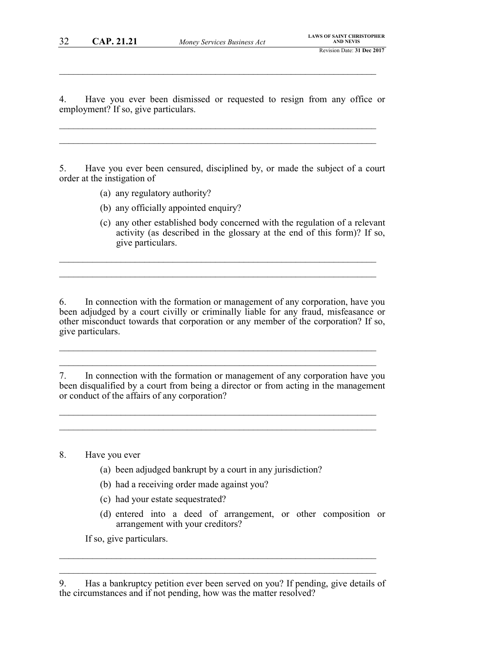$\mathcal{L}_\mathcal{L} = \mathcal{L}_\mathcal{L} = \mathcal{L}_\mathcal{L} = \mathcal{L}_\mathcal{L} = \mathcal{L}_\mathcal{L} = \mathcal{L}_\mathcal{L} = \mathcal{L}_\mathcal{L} = \mathcal{L}_\mathcal{L} = \mathcal{L}_\mathcal{L} = \mathcal{L}_\mathcal{L} = \mathcal{L}_\mathcal{L} = \mathcal{L}_\mathcal{L} = \mathcal{L}_\mathcal{L} = \mathcal{L}_\mathcal{L} = \mathcal{L}_\mathcal{L} = \mathcal{L}_\mathcal{L} = \mathcal{L}_\mathcal{L}$ 

4. Have you ever been dismissed or requested to resign from any office or employment? If so, give particulars.

 $\mathcal{L}_\mathcal{L} = \mathcal{L}_\mathcal{L} = \mathcal{L}_\mathcal{L} = \mathcal{L}_\mathcal{L} = \mathcal{L}_\mathcal{L} = \mathcal{L}_\mathcal{L} = \mathcal{L}_\mathcal{L} = \mathcal{L}_\mathcal{L} = \mathcal{L}_\mathcal{L} = \mathcal{L}_\mathcal{L} = \mathcal{L}_\mathcal{L} = \mathcal{L}_\mathcal{L} = \mathcal{L}_\mathcal{L} = \mathcal{L}_\mathcal{L} = \mathcal{L}_\mathcal{L} = \mathcal{L}_\mathcal{L} = \mathcal{L}_\mathcal{L}$  $\mathcal{L}_\mathcal{L} = \mathcal{L}_\mathcal{L} = \mathcal{L}_\mathcal{L} = \mathcal{L}_\mathcal{L} = \mathcal{L}_\mathcal{L} = \mathcal{L}_\mathcal{L} = \mathcal{L}_\mathcal{L} = \mathcal{L}_\mathcal{L} = \mathcal{L}_\mathcal{L} = \mathcal{L}_\mathcal{L} = \mathcal{L}_\mathcal{L} = \mathcal{L}_\mathcal{L} = \mathcal{L}_\mathcal{L} = \mathcal{L}_\mathcal{L} = \mathcal{L}_\mathcal{L} = \mathcal{L}_\mathcal{L} = \mathcal{L}_\mathcal{L}$ 

5. Have you ever been censured, disciplined by, or made the subject of a court order at the instigation of

- (a) any regulatory authority?
- (b) any officially appointed enquiry?
- (c) any other established body concerned with the regulation of a relevant activity (as described in the glossary at the end of this form)? If so, give particulars.

6. In connection with the formation or management of any corporation, have you been adjudged by a court civilly or criminally liable for any fraud, misfeasance or other misconduct towards that corporation or any member of the corporation? If so, give particulars.

 $\mathcal{L}_\mathcal{L} = \{ \mathcal{L}_\mathcal{L} = \{ \mathcal{L}_\mathcal{L} = \{ \mathcal{L}_\mathcal{L} = \{ \mathcal{L}_\mathcal{L} = \{ \mathcal{L}_\mathcal{L} = \{ \mathcal{L}_\mathcal{L} = \{ \mathcal{L}_\mathcal{L} = \{ \mathcal{L}_\mathcal{L} = \{ \mathcal{L}_\mathcal{L} = \{ \mathcal{L}_\mathcal{L} = \{ \mathcal{L}_\mathcal{L} = \{ \mathcal{L}_\mathcal{L} = \{ \mathcal{L}_\mathcal{L} = \{ \mathcal{L}_\mathcal{$  $\mathcal{L}_\mathcal{L} = \{ \mathcal{L}_\mathcal{L} = \{ \mathcal{L}_\mathcal{L} = \{ \mathcal{L}_\mathcal{L} = \{ \mathcal{L}_\mathcal{L} = \{ \mathcal{L}_\mathcal{L} = \{ \mathcal{L}_\mathcal{L} = \{ \mathcal{L}_\mathcal{L} = \{ \mathcal{L}_\mathcal{L} = \{ \mathcal{L}_\mathcal{L} = \{ \mathcal{L}_\mathcal{L} = \{ \mathcal{L}_\mathcal{L} = \{ \mathcal{L}_\mathcal{L} = \{ \mathcal{L}_\mathcal{L} = \{ \mathcal{L}_\mathcal{$ 

 $\mathcal{L}_\text{max}$  and  $\mathcal{L}_\text{max}$  and  $\mathcal{L}_\text{max}$  and  $\mathcal{L}_\text{max}$  and  $\mathcal{L}_\text{max}$  and  $\mathcal{L}_\text{max}$  $\mathcal{L}_\mathcal{L} = \{ \mathcal{L}_\mathcal{L} = \{ \mathcal{L}_\mathcal{L} = \{ \mathcal{L}_\mathcal{L} = \{ \mathcal{L}_\mathcal{L} = \{ \mathcal{L}_\mathcal{L} = \{ \mathcal{L}_\mathcal{L} = \{ \mathcal{L}_\mathcal{L} = \{ \mathcal{L}_\mathcal{L} = \{ \mathcal{L}_\mathcal{L} = \{ \mathcal{L}_\mathcal{L} = \{ \mathcal{L}_\mathcal{L} = \{ \mathcal{L}_\mathcal{L} = \{ \mathcal{L}_\mathcal{L} = \{ \mathcal{L}_\mathcal{$ 

7. In connection with the formation or management of any corporation have you been disqualified by a court from being a director or from acting in the management or conduct of the affairs of any corporation?

 $\mathcal{L}_\mathcal{L} = \{ \mathcal{L}_\mathcal{L} = \{ \mathcal{L}_\mathcal{L} = \{ \mathcal{L}_\mathcal{L} = \{ \mathcal{L}_\mathcal{L} = \{ \mathcal{L}_\mathcal{L} = \{ \mathcal{L}_\mathcal{L} = \{ \mathcal{L}_\mathcal{L} = \{ \mathcal{L}_\mathcal{L} = \{ \mathcal{L}_\mathcal{L} = \{ \mathcal{L}_\mathcal{L} = \{ \mathcal{L}_\mathcal{L} = \{ \mathcal{L}_\mathcal{L} = \{ \mathcal{L}_\mathcal{L} = \{ \mathcal{L}_\mathcal{$  $\mathcal{L}_\mathcal{L} = \{ \mathcal{L}_\mathcal{L} = \{ \mathcal{L}_\mathcal{L} = \{ \mathcal{L}_\mathcal{L} = \{ \mathcal{L}_\mathcal{L} = \{ \mathcal{L}_\mathcal{L} = \{ \mathcal{L}_\mathcal{L} = \{ \mathcal{L}_\mathcal{L} = \{ \mathcal{L}_\mathcal{L} = \{ \mathcal{L}_\mathcal{L} = \{ \mathcal{L}_\mathcal{L} = \{ \mathcal{L}_\mathcal{L} = \{ \mathcal{L}_\mathcal{L} = \{ \mathcal{L}_\mathcal{L} = \{ \mathcal{L}_\mathcal{$ 

## 8. Have you ever

- (a) been adjudged bankrupt by a court in any jurisdiction?
- (b) had a receiving order made against you?
- (c) had your estate sequestrated?
- (d) entered into a deed of arrangement, or other composition or arrangement with your creditors?

If so, give particulars.

 $\mathcal{L}_\mathcal{L} = \{ \mathcal{L}_\mathcal{L} = \{ \mathcal{L}_\mathcal{L} = \{ \mathcal{L}_\mathcal{L} = \{ \mathcal{L}_\mathcal{L} = \{ \mathcal{L}_\mathcal{L} = \{ \mathcal{L}_\mathcal{L} = \{ \mathcal{L}_\mathcal{L} = \{ \mathcal{L}_\mathcal{L} = \{ \mathcal{L}_\mathcal{L} = \{ \mathcal{L}_\mathcal{L} = \{ \mathcal{L}_\mathcal{L} = \{ \mathcal{L}_\mathcal{L} = \{ \mathcal{L}_\mathcal{L} = \{ \mathcal{L}_\mathcal{$  $\mathcal{L}_\text{max}$  , and the contribution of the contribution of the contribution of the contribution of the contribution of the contribution of the contribution of the contribution of the contribution of the contribution of t

<sup>9.</sup> Has a bankruptcy petition ever been served on you? If pending, give details of the circumstances and if not pending, how was the matter resolved?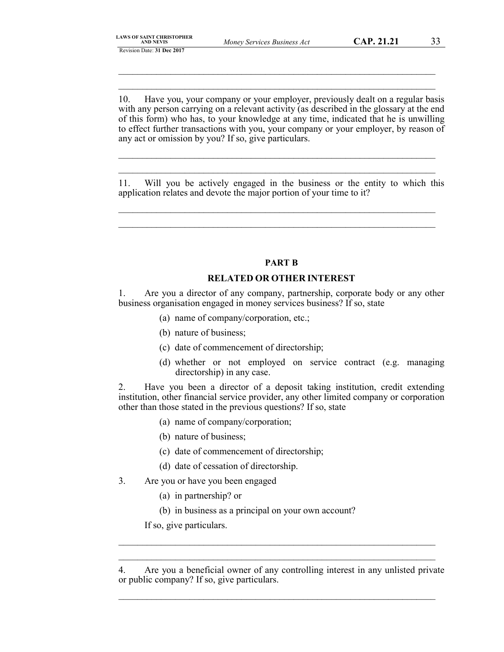|                  |  |  |  | <b>LAWS OF SAINT CHRISTOPHER</b> |  |  |  |
|------------------|--|--|--|----------------------------------|--|--|--|
| <b>AND NEVIS</b> |  |  |  |                                  |  |  |  |

\_\_\_\_\_\_\_\_\_\_\_\_\_\_\_\_\_\_\_\_\_\_\_\_\_\_\_\_\_\_\_\_\_\_\_\_\_\_\_\_\_\_\_\_\_\_\_\_\_\_\_\_\_\_\_\_\_\_\_\_\_\_\_\_\_\_\_ \_\_\_\_\_\_\_\_\_\_\_\_\_\_\_\_\_\_\_\_\_\_\_\_\_\_\_\_\_\_\_\_\_\_\_\_\_\_\_\_\_\_\_\_\_\_\_\_\_\_\_\_\_\_\_\_\_\_\_\_\_\_\_\_\_\_\_

10. Have you, your company or your employer, previously dealt on a regular basis with any person carrying on a relevant activity (as described in the glossary at the end of this form) who has, to your knowledge at any time, indicated that he is unwilling to effect further transactions with you, your company or your employer, by reason of any act or omission by you? If so, give particulars.

11. Will you be actively engaged in the business or the entity to which this application relates and devote the major portion of your time to it?

\_\_\_\_\_\_\_\_\_\_\_\_\_\_\_\_\_\_\_\_\_\_\_\_\_\_\_\_\_\_\_\_\_\_\_\_\_\_\_\_\_\_\_\_\_\_\_\_\_\_\_\_\_\_\_\_\_\_\_\_\_\_\_\_\_\_\_ \_\_\_\_\_\_\_\_\_\_\_\_\_\_\_\_\_\_\_\_\_\_\_\_\_\_\_\_\_\_\_\_\_\_\_\_\_\_\_\_\_\_\_\_\_\_\_\_\_\_\_\_\_\_\_\_\_\_\_\_\_\_\_\_\_\_\_

\_\_\_\_\_\_\_\_\_\_\_\_\_\_\_\_\_\_\_\_\_\_\_\_\_\_\_\_\_\_\_\_\_\_\_\_\_\_\_\_\_\_\_\_\_\_\_\_\_\_\_\_\_\_\_\_\_\_\_\_\_\_\_\_\_\_\_ \_\_\_\_\_\_\_\_\_\_\_\_\_\_\_\_\_\_\_\_\_\_\_\_\_\_\_\_\_\_\_\_\_\_\_\_\_\_\_\_\_\_\_\_\_\_\_\_\_\_\_\_\_\_\_\_\_\_\_\_\_\_\_\_\_\_\_

**PART B**

## **RELATED OR OTHER INTEREST**

1. Are you a director of any company, partnership, corporate body or any other business organisation engaged in money services business? If so, state

- (a) name of company/corporation, etc.;
- (b) nature of business;
- (c) date of commencement of directorship;
- (d) whether or not employed on service contract (e.g. managing directorship) in any case.

2. Have you been a director of a deposit taking institution, credit extending institution, other financial service provider, any other limited company or corporation other than those stated in the previous questions? If so, state

- (a) name of company/corporation;
- (b) nature of business;
- (c) date of commencement of directorship;
- (d) date of cessation of directorship.
- 3. Are you or have you been engaged
	- (a) in partnership? or
	- (b) in business as a principal on your own account?

If so, give particulars.

\_\_\_\_\_\_\_\_\_\_\_\_\_\_\_\_\_\_\_\_\_\_\_\_\_\_\_\_\_\_\_\_\_\_\_\_\_\_\_\_\_\_\_\_\_\_\_\_\_\_\_\_\_\_\_\_\_\_\_\_\_\_\_\_\_\_\_

\_\_\_\_\_\_\_\_\_\_\_\_\_\_\_\_\_\_\_\_\_\_\_\_\_\_\_\_\_\_\_\_\_\_\_\_\_\_\_\_\_\_\_\_\_\_\_\_\_\_\_\_\_\_\_\_\_\_\_\_\_\_\_\_\_\_\_ \_\_\_\_\_\_\_\_\_\_\_\_\_\_\_\_\_\_\_\_\_\_\_\_\_\_\_\_\_\_\_\_\_\_\_\_\_\_\_\_\_\_\_\_\_\_\_\_\_\_\_\_\_\_\_\_\_\_\_\_\_\_\_\_\_\_\_

<sup>4.</sup> Are you a beneficial owner of any controlling interest in any unlisted private or public company? If so, give particulars.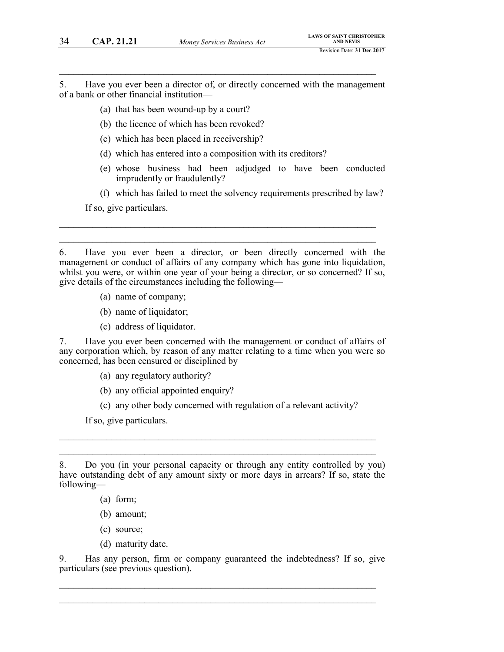5. Have you ever been a director of, or directly concerned with the management of a bank or other financial institution—

 $\mathcal{L}_\mathcal{L} = \mathcal{L}_\mathcal{L} = \mathcal{L}_\mathcal{L} = \mathcal{L}_\mathcal{L} = \mathcal{L}_\mathcal{L} = \mathcal{L}_\mathcal{L} = \mathcal{L}_\mathcal{L} = \mathcal{L}_\mathcal{L} = \mathcal{L}_\mathcal{L} = \mathcal{L}_\mathcal{L} = \mathcal{L}_\mathcal{L} = \mathcal{L}_\mathcal{L} = \mathcal{L}_\mathcal{L} = \mathcal{L}_\mathcal{L} = \mathcal{L}_\mathcal{L} = \mathcal{L}_\mathcal{L} = \mathcal{L}_\mathcal{L}$ 

- (a) that has been wound-up by a court?
- (b) the licence of which has been revoked?
- (c) which has been placed in receivership?
- (d) which has entered into a composition with its creditors?
- (e) whose business had been adjudged to have been conducted imprudently or fraudulently?
- (f) which has failed to meet the solvency requirements prescribed by law?

If so, give particulars.

6. Have you ever been a director, or been directly concerned with the management or conduct of affairs of any company which has gone into liquidation, whilst you were, or within one year of your being a director, or so concerned? If so, give details of the circumstances including the following—

 $\mathcal{L}_\mathcal{L} = \mathcal{L}_\mathcal{L} = \mathcal{L}_\mathcal{L} = \mathcal{L}_\mathcal{L} = \mathcal{L}_\mathcal{L} = \mathcal{L}_\mathcal{L} = \mathcal{L}_\mathcal{L} = \mathcal{L}_\mathcal{L} = \mathcal{L}_\mathcal{L} = \mathcal{L}_\mathcal{L} = \mathcal{L}_\mathcal{L} = \mathcal{L}_\mathcal{L} = \mathcal{L}_\mathcal{L} = \mathcal{L}_\mathcal{L} = \mathcal{L}_\mathcal{L} = \mathcal{L}_\mathcal{L} = \mathcal{L}_\mathcal{L}$  $\mathcal{L}_\mathcal{L} = \mathcal{L}_\mathcal{L} = \mathcal{L}_\mathcal{L} = \mathcal{L}_\mathcal{L} = \mathcal{L}_\mathcal{L} = \mathcal{L}_\mathcal{L} = \mathcal{L}_\mathcal{L} = \mathcal{L}_\mathcal{L} = \mathcal{L}_\mathcal{L} = \mathcal{L}_\mathcal{L} = \mathcal{L}_\mathcal{L} = \mathcal{L}_\mathcal{L} = \mathcal{L}_\mathcal{L} = \mathcal{L}_\mathcal{L} = \mathcal{L}_\mathcal{L} = \mathcal{L}_\mathcal{L} = \mathcal{L}_\mathcal{L}$ 

- (a) name of company;
- (b) name of liquidator;
- (c) address of liquidator.

7. Have you ever been concerned with the management or conduct of affairs of any corporation which, by reason of any matter relating to a time when you were so concerned, has been censured or disciplined by

- (a) any regulatory authority?
- (b) any official appointed enquiry?
- (c) any other body concerned with regulation of a relevant activity?

If so, give particulars.

 $\mathcal{L}_\mathcal{L}$  , and the contribution of the contribution of the contribution of the contribution of the contribution of the contribution of the contribution of the contribution of the contribution of the contribution of  $\mathcal{L}_\mathcal{L}$  , and the contribution of the contribution of the contribution of the contribution of the contribution of the contribution of the contribution of the contribution of the contribution of the contribution of

- (a) form;
- (b) amount;
- (c) source;
- (d) maturity date.

9. Has any person, firm or company guaranteed the indebtedness? If so, give particulars (see previous question).

 $\mathcal{L}_\mathcal{L}$  , and the contribution of the contribution of the contribution of the contribution of the contribution of the contribution of the contribution of the contribution of the contribution of the contribution of  $\mathcal{L}_\mathcal{L} = \{ \mathcal{L}_\mathcal{L} = \{ \mathcal{L}_\mathcal{L} = \{ \mathcal{L}_\mathcal{L} = \{ \mathcal{L}_\mathcal{L} = \{ \mathcal{L}_\mathcal{L} = \{ \mathcal{L}_\mathcal{L} = \{ \mathcal{L}_\mathcal{L} = \{ \mathcal{L}_\mathcal{L} = \{ \mathcal{L}_\mathcal{L} = \{ \mathcal{L}_\mathcal{L} = \{ \mathcal{L}_\mathcal{L} = \{ \mathcal{L}_\mathcal{L} = \{ \mathcal{L}_\mathcal{L} = \{ \mathcal{L}_\mathcal{$ 

<sup>8.</sup> Do you (in your personal capacity or through any entity controlled by you) have outstanding debt of any amount sixty or more days in arrears? If so, state the following—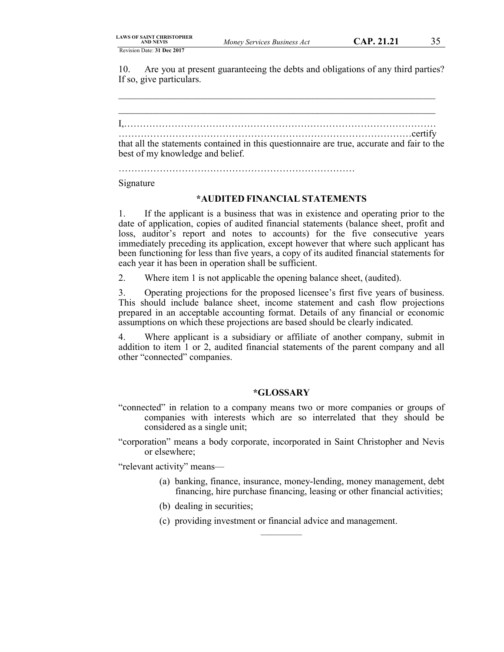10. Are you at present guaranteeing the debts and obligations of any third parties? If so, give particulars.

\_\_\_\_\_\_\_\_\_\_\_\_\_\_\_\_\_\_\_\_\_\_\_\_\_\_\_\_\_\_\_\_\_\_\_\_\_\_\_\_\_\_\_\_\_\_\_\_\_\_\_\_\_\_\_\_\_\_\_\_\_\_\_\_\_\_\_

\_\_\_\_\_\_\_\_\_\_\_\_\_\_\_\_\_\_\_\_\_\_\_\_\_\_\_\_\_\_\_\_\_\_\_\_\_\_\_\_\_\_\_\_\_\_\_\_\_\_\_\_\_\_\_\_\_\_\_\_\_\_\_\_\_\_\_ I,……………………………………………………………………………………… …………………………………………………………………………………certify that all the statements contained in this questionnaire are true, accurate and fair to the best of my knowledge and belief.

…………………………………………………………………

#### Signature

## **\*AUDITED FINANCIAL STATEMENTS**

1. If the applicant is a business that was in existence and operating prior to the date of application, copies of audited financial statements (balance sheet, profit and loss, auditor's report and notes to accounts) for the five consecutive years immediately preceding its application, except however that where such applicant has been functioning for less than five years, a copy of its audited financial statements for each year it has been in operation shall be sufficient.

2. Where item 1 is not applicable the opening balance sheet, (audited).

3. Operating projections for the proposed licensee's first five years of business. This should include balance sheet, income statement and cash flow projections prepared in an acceptable accounting format. Details of any financial or economic assumptions on which these projections are based should be clearly indicated.

4. Where applicant is a subsidiary or affiliate of another company, submit in addition to item 1 or 2, audited financial statements of the parent company and all other "connected" companies.

## **\*GLOSSARY**

- "connected" in relation to a company means two or more companies or groups of companies with interests which are so interrelated that they should be considered as a single unit;
- "corporation" means a body corporate, incorporated in Saint Christopher and Nevis or elsewhere;

"relevant activity" means—

- (a) banking, finance, insurance, money-lending, money management, debt financing, hire purchase financing, leasing or other financial activities;
- (b) dealing in securities;
- (c) providing investment or financial advice and management.  $\mathcal{L}$  , we have the set of  $\mathcal{L}$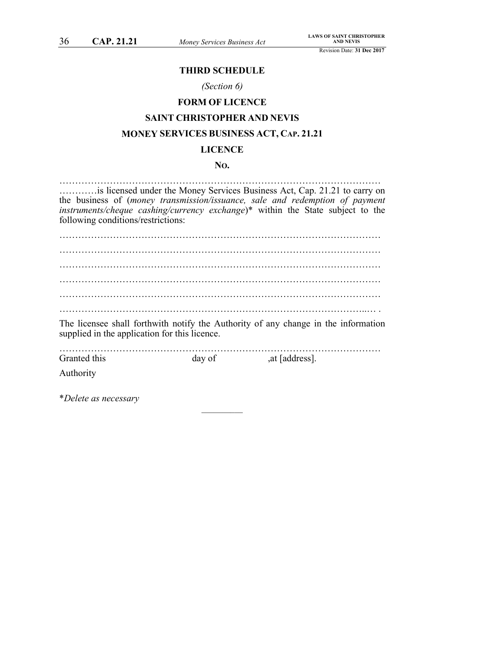## **THIRD SCHEDULE**

## *(Section 6)*

# **FORM OF LICENCE SAINT CHRISTOPHER AND NEVIS**

## **MONEY SERVICES BUSINESS ACT, CAP. 21.21**

## **LICENCE**

## **NO.**

………………………………………………………………………………………… …………is licensed under the Money Services Business Act, Cap. 21.21 to carry on the business of (*money transmission/issuance, sale and redemption of payment instruments/cheque cashing/currency exchange*)\* within the State subject to the following conditions/restrictions: ………………………………………………………………………………………… ………………………………………………………………………………………… ………………………………………………………………………………………… ………………………………………………………………………………………… ………………………………………………………………………………………… ……………………………………………………………………………………..… .

The licensee shall forthwith notify the Authority of any change in the information supplied in the application for this licence.

………………………………………………………………………………………… Granted this day of ,at [address].

 $\mathcal{L}=\mathcal{L}$ 

Authority

\**Delete as necessary*